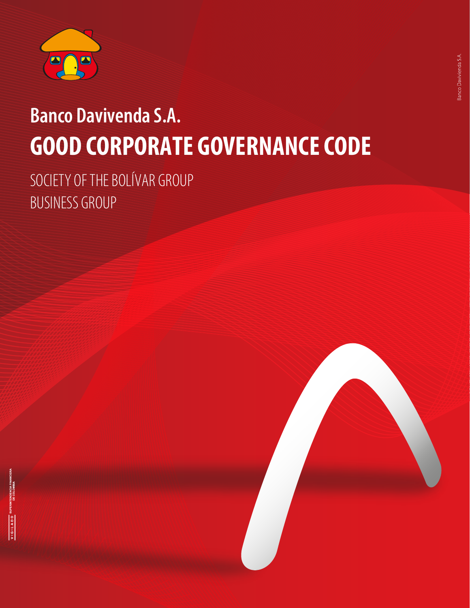

# **Banco Davivenda S.A. GOOD CORPORATE GOVERNANCE CODE**

SOCIETY OF THE BOLÍVAR GROUP BUSINESS GROUP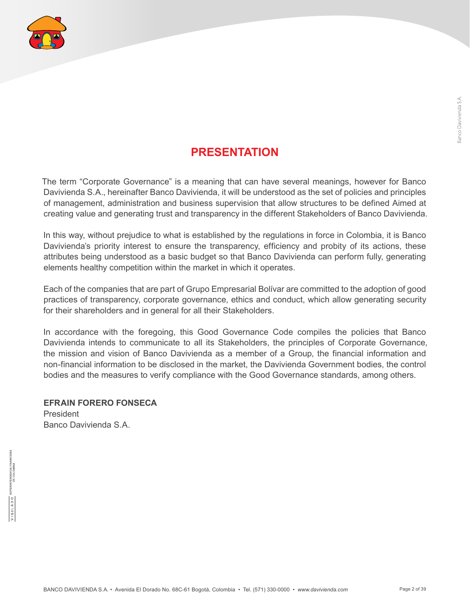

## **PRESENTATION**

The term "Corporate Governance" is a meaning that can have several meanings, however for Banco Davivienda S.A., hereinafter Banco Davivienda, it will be understood as the set of policies and principles of management, administration and business supervision that allow structures to be defined Aimed at creating value and generating trust and transparency in the different Stakeholders of Banco Davivienda.

In this way, without prejudice to what is established by the regulations in force in Colombia, it is Banco Davivienda's priority interest to ensure the transparency, efficiency and probity of its actions, these attributes being understood as a basic budget so that Banco Davivienda can perform fully, generating elements healthy competition within the market in which it operates.

Each of the companies that are part of Grupo Empresarial Bolívar are committed to the adoption of good practices of transparency, corporate governance, ethics and conduct, which allow generating security for their shareholders and in general for all their Stakeholders.

In accordance with the foregoing, this Good Governance Code compiles the policies that Banco Davivienda intends to communicate to all its Stakeholders, the principles of Corporate Governance, the mission and vision of Banco Davivienda as a member of a Group, the financial information and non-financial information to be disclosed in the market, the Davivienda Government bodies, the control bodies and the measures to verify compliance with the Good Governance standards, among others.

**EFRAIN FORERO FONSECA** President Banco Davivienda S.A.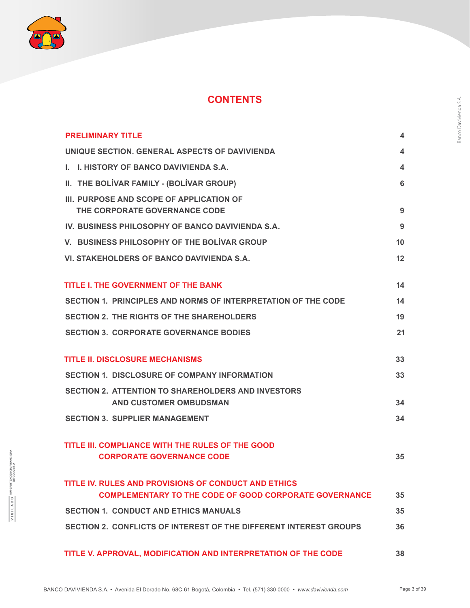

## **CONTENTS**

| <b>PRELIMINARY TITLE</b>                                                                                              | 4  |
|-----------------------------------------------------------------------------------------------------------------------|----|
| UNIQUE SECTION. GENERAL ASPECTS OF DAVIVIENDA                                                                         | 4  |
| I. I. HISTORY OF BANCO DAVIVIENDA S.A.                                                                                | 4  |
| II. THE BOLIVAR FAMILY - (BOLIVAR GROUP)                                                                              | 6  |
| III. PURPOSE AND SCOPE OF APPLICATION OF<br>THE CORPORATE GOVERNANCE CODE                                             | 9  |
| IV. BUSINESS PHILOSOPHY OF BANCO DAVIVIENDA S.A.                                                                      | 9  |
| V. BUSINESS PHILOSOPHY OF THE BOLIVAR GROUP                                                                           | 10 |
| VI. STAKEHOLDERS OF BANCO DAVIVIENDA S.A.                                                                             | 12 |
| <b>TITLE I. THE GOVERNMENT OF THE BANK</b>                                                                            | 14 |
| SECTION 1. PRINCIPLES AND NORMS OF INTERPRETATION OF THE CODE                                                         | 14 |
| <b>SECTION 2. THE RIGHTS OF THE SHAREHOLDERS</b>                                                                      | 19 |
| <b>SECTION 3. CORPORATE GOVERNANCE BODIES</b>                                                                         | 21 |
| <b>TITLE II. DISCLOSURE MECHANISMS</b>                                                                                | 33 |
| <b>SECTION 1. DISCLOSURE OF COMPANY INFORMATION</b>                                                                   | 33 |
| <b>SECTION 2. ATTENTION TO SHAREHOLDERS AND INVESTORS</b><br><b>AND CUSTOMER OMBUDSMAN</b>                            | 34 |
| <b>SECTION 3. SUPPLIER MANAGEMENT</b>                                                                                 | 34 |
| TITLE III. COMPLIANCE WITH THE RULES OF THE GOOD<br><b>CORPORATE GOVERNANCE CODE</b>                                  | 35 |
| TITLE IV. RULES AND PROVISIONS OF CONDUCT AND ETHICS<br><b>COMPLEMENTARY TO THE CODE OF GOOD CORPORATE GOVERNANCE</b> | 35 |
| <b>SECTION 1. CONDUCT AND ETHICS MANUALS</b>                                                                          | 35 |
| SECTION 2. CONFLICTS OF INTEREST OF THE DIFFERENT INTEREST GROUPS                                                     | 36 |
| TITLE V. APPROVAL, MODIFICATION AND INTERPRETATION OF THE CODE                                                        | 38 |

 $\underline{V1G1LADO}$  SUPERINTENDENCIA FINANCIERA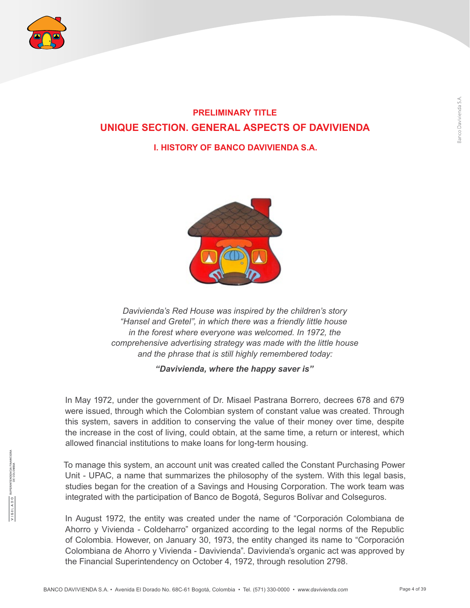

## **PRELIMINARY TITLE UNIQUE SECTION. GENERAL ASPECTS OF DAVIVIENDA**

#### **I. HISTORY OF BANCO DAVIVIENDA S.A.**



*Davivienda's Red House was inspired by the children's story "Hansel and Gretel", in which there was a friendly little house in the forest where everyone was welcomed. In 1972, the comprehensive advertising strategy was made with the little house and the phrase that is still highly remembered today:*

#### *"Davivienda, where the happy saver is"*

In May 1972, under the government of Dr. Misael Pastrana Borrero, decrees 678 and 679 were issued, through which the Colombian system of constant value was created. Through this system, savers in addition to conserving the value of their money over time, despite the increase in the cost of living, could obtain, at the same time, a return or interest, which allowed financial institutions to make loans for long-term housing.

To manage this system, an account unit was created called the Constant Purchasing Power Unit - UPAC, a name that summarizes the philosophy of the system. With this legal basis, studies began for the creation of a Savings and Housing Corporation. The work team was integrated with the participation of Banco de Bogotá, Seguros Bolívar and Colseguros.

In August 1972, the entity was created under the name of "Corporación Colombiana de Ahorro y Vivienda - Coldeharro" organized according to the legal norms of the Republic of Colombia. However, on January 30, 1973, the entity changed its name to "Corporación Colombiana de Ahorro y Vivienda - Davivienda". Davivienda's organic act was approved by the Financial Superintendency on October 4, 1972, through resolution 2798.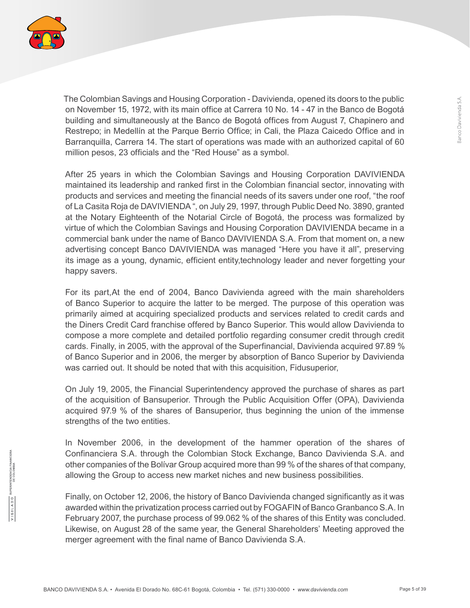

The Colombian Savings and Housing Corporation - Davivienda, opened its doors to the public on November 15, 1972, with its main office at Carrera 10 No. 14 - 47 in the Banco de Bogotá building and simultaneously at the Banco de Bogotá offices from August 7, Chapinero and Restrepo; in Medellín at the Parque Berrio Office; in Cali, the Plaza Caicedo Office and in Barranquilla, Carrera 14. The start of operations was made with an authorized capital of 60 million pesos, 23 officials and the "Red House" as a symbol.

After 25 years in which the Colombian Savings and Housing Corporation DAVIVIENDA maintained its leadership and ranked first in the Colombian financial sector, innovating with products and services and meeting the financial needs of its savers under one roof, "the roof of La Casita Roja de DAVIVIENDA ", on July 29, 1997, through Public Deed No. 3890, granted at the Notary Eighteenth of the Notarial Circle of Bogotá, the process was formalized by virtue of which the Colombian Savings and Housing Corporation DAVIVIENDA became in a commercial bank under the name of Banco DAVIVIENDA S.A. From that moment on, a new advertising concept Banco DAVIVIENDA was managed "Here you have it all", preserving its image as a young, dynamic, efficient entity,technology leader and never forgetting your happy savers.

For its part,At the end of 2004, Banco Davivienda agreed with the main shareholders of Banco Superior to acquire the latter to be merged. The purpose of this operation was primarily aimed at acquiring specialized products and services related to credit cards and the Diners Credit Card franchise offered by Banco Superior. This would allow Davivienda to compose a more complete and detailed portfolio regarding consumer credit through credit cards. Finally, in 2005, with the approval of the Superfinancial, Davivienda acquired 97.89 % of Banco Superior and in 2006, the merger by absorption of Banco Superior by Davivienda was carried out. It should be noted that with this acquisition, Fidusuperior,

On July 19, 2005, the Financial Superintendency approved the purchase of shares as part of the acquisition of Bansuperior. Through the Public Acquisition Offer (OPA), Davivienda acquired 97.9 % of the shares of Bansuperior, thus beginning the union of the immense strengths of the two entities.

In November 2006, in the development of the hammer operation of the shares of Confinanciera S.A. through the Colombian Stock Exchange, Banco Davivienda S.A. and other companies of the Bolívar Group acquired more than 99 % of the shares of that company, allowing the Group to access new market niches and new business possibilities.

Finally, on October 12, 2006, the history of Banco Davivienda changed significantly as it was awarded within the privatization process carried out by FOGAFIN of Banco Granbanco S.A. In February 2007, the purchase process of 99.062 % of the shares of this Entity was concluded. Likewise, on August 28 of the same year, the General Shareholders' Meeting approved the merger agreement with the final name of Banco Davivienda S.A.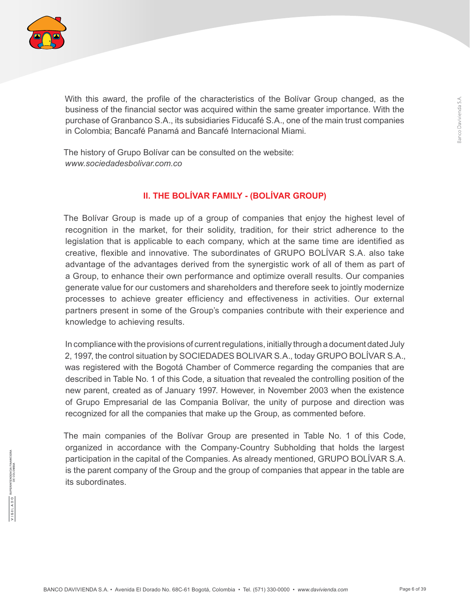

With this award, the profile of the characteristics of the Bolívar Group changed, as the business of the financial sector was acquired within the same greater importance. With the purchase of Granbanco S.A., its subsidiaries Fiducafé S.A., one of the main trust companies in Colombia; Bancafé Panamá and Bancafé Internacional Miami.

The history of Grupo Bolívar can be consulted on the website: *www.sociedadesbolivar.com.co*

#### **II. THE BOLÍVAR FAMILY - (BOLÍVAR GROUP)**

The Bolívar Group is made up of a group of companies that enjoy the highest level of recognition in the market, for their solidity, tradition, for their strict adherence to the legislation that is applicable to each company, which at the same time are identified as creative, flexible and innovative. The subordinates of GRUPO BOLÍVAR S.A. also take advantage of the advantages derived from the synergistic work of all of them as part of a Group, to enhance their own performance and optimize overall results. Our companies generate value for our customers and shareholders and therefore seek to jointly modernize processes to achieve greater efficiency and effectiveness in activities. Our external partners present in some of the Group's companies contribute with their experience and knowledge to achieving results.

In compliance with the provisions of current regulations, initially through a document dated July 2, 1997, the control situation by SOCIEDADES BOLIVAR S.A., today GRUPO BOLÍVAR S.A., was registered with the Bogotá Chamber of Commerce regarding the companies that are described in Table No. 1 of this Code, a situation that revealed the controlling position of the new parent, created as of January 1997. However, in November 2003 when the existence of Grupo Empresarial de las Compania Bolívar, the unity of purpose and direction was recognized for all the companies that make up the Group, as commented before.

The main companies of the Bolívar Group are presented in Table No. 1 of this Code, organized in accordance with the Company-Country Subholding that holds the largest participation in the capital of the Companies. As already mentioned, GRUPO BOLÍVAR S.A. is the parent company of the Group and the group of companies that appear in the table are its subordinates.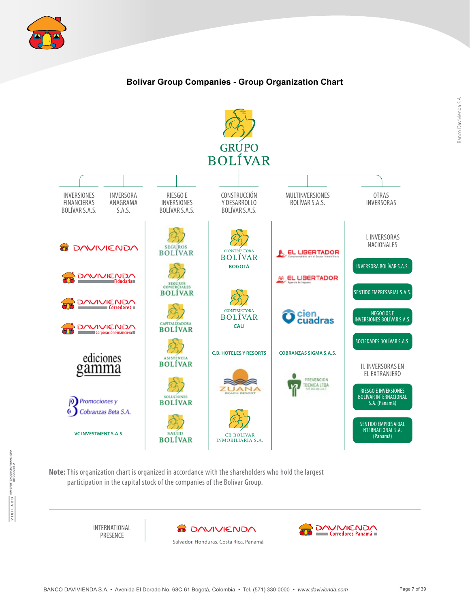

#### **Bolívar Group Companies - Group Organization Chart**



**Note:** This organization chart is organized in accordance with the shareholders who hold the largest participation in the capital stock of the companies of the Bolívar Group.

> INTERNATIONAL PRESENCE



Salvador, Honduras, Costa Rica, Panamá



TENDENCIA FINA<br>DE COLOMBIA

VIGILADO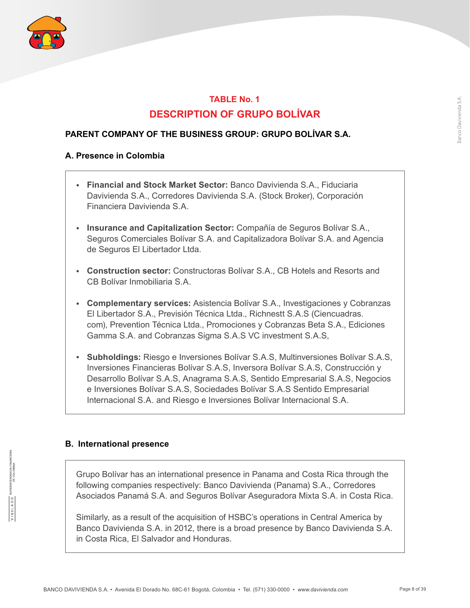

## **TABLE No. 1 DESCRIPTION OF GRUPO BOLÍVAR**

#### **PARENT COMPANY OF THE BUSINESS GROUP: GRUPO BOLÍVAR S.A.**

#### **A. Presence in Colombia**

- **Financial and Stock Market Sector:** Banco Davivienda S.A., Fiduciaria Davivienda S.A., Corredores Davivienda S.A. (Stock Broker), Corporación Financiera Davivienda S.A.
- **Insurance and Capitalization Sector:** Compañía de Seguros Bolívar S.A., Seguros Comerciales Bolívar S.A. and Capitalizadora Bolívar S.A. and Agencia de Seguros El Libertador Ltda.
- **Construction sector:** Constructoras Bolívar S.A., CB Hotels and Resorts and CB Bolívar Inmobiliaria S.A.
- **Complementary services:** Asistencia Bolívar S.A., Investigaciones y Cobranzas El Libertador S.A., Previsión Técnica Ltda., Richnestt S.A.S (Ciencuadras. com), Prevention Técnica Ltda., Promociones y Cobranzas Beta S.A., Ediciones Gamma S.A. and Cobranzas Sigma S.A.S VC investment S.A.S,
- **Subholdings:** Riesgo e Inversiones Bolívar S.A.S, Multinversiones Bolívar S.A.S, Inversiones Financieras Bolívar S.A.S, Inversora Bolívar S.A.S, Construcción y Desarrollo Bolívar S.A.S, Anagrama S.A.S, Sentido Empresarial S.A.S, Negocios e Inversiones Bolívar S.A.S, Sociedades Bolívar S.A.S Sentido Empresarial Internacional S.A. and Riesgo e Inversiones Bolívar Internacional S.A.

#### **B. International presence**

Grupo Bolívar has an international presence in Panama and Costa Rica through the following companies respectively: Banco Davivienda (Panama) S.A., Corredores Asociados Panamá S.A. and Seguros Bolívar Aseguradora Mixta S.A. in Costa Rica.

Similarly, as a result of the acquisition of HSBC's operations in Central America by Banco Davivienda S.A. in 2012, there is a broad presence by Banco Davivienda S.A. in Costa Rica, El Salvador and Honduras.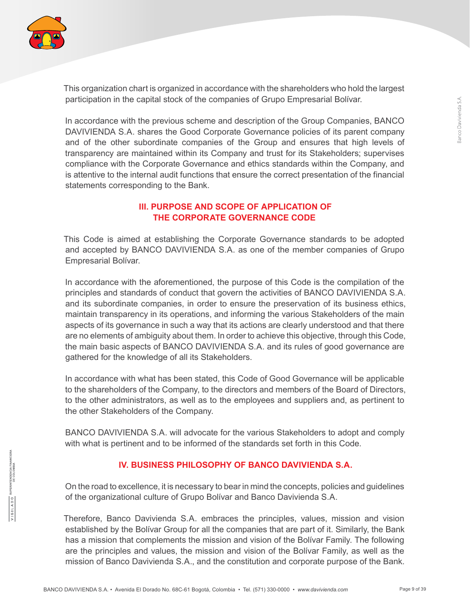

This organization chart is organized in accordance with the shareholders who hold the largest participation in the capital stock of the companies of Grupo Empresarial Bolívar.

In accordance with the previous scheme and description of the Group Companies, BANCO DAVIVIENDA S.A. shares the Good Corporate Governance policies of its parent company and of the other subordinate companies of the Group and ensures that high levels of transparency are maintained within its Company and trust for its Stakeholders; supervises compliance with the Corporate Governance and ethics standards within the Company, and is attentive to the internal audit functions that ensure the correct presentation of the financial statements corresponding to the Bank.

#### **III. PURPOSE AND SCOPE OF APPLICATION OF THE CORPORATE GOVERNANCE CODE**

This Code is aimed at establishing the Corporate Governance standards to be adopted and accepted by BANCO DAVIVIENDA S.A. as one of the member companies of Grupo Empresarial Bolívar.

In accordance with the aforementioned, the purpose of this Code is the compilation of the principles and standards of conduct that govern the activities of BANCO DAVIVIENDA S.A. and its subordinate companies, in order to ensure the preservation of its business ethics, maintain transparency in its operations, and informing the various Stakeholders of the main aspects of its governance in such a way that its actions are clearly understood and that there are no elements of ambiguity about them. In order to achieve this objective, through this Code, the main basic aspects of BANCO DAVIVIENDA S.A. and its rules of good governance are gathered for the knowledge of all its Stakeholders.

In accordance with what has been stated, this Code of Good Governance will be applicable to the shareholders of the Company, to the directors and members of the Board of Directors, to the other administrators, as well as to the employees and suppliers and, as pertinent to the other Stakeholders of the Company.

BANCO DAVIVIENDA S.A. will advocate for the various Stakeholders to adopt and comply with what is pertinent and to be informed of the standards set forth in this Code.

#### **IV. BUSINESS PHILOSOPHY OF BANCO DAVIVIENDA S.A.**

On the road to excellence, it is necessary to bear in mind the concepts, policies and guidelines of the organizational culture of Grupo Bolívar and Banco Davivienda S.A.

Therefore, Banco Davivienda S.A. embraces the principles, values, mission and vision established by the Bolívar Group for all the companies that are part of it. Similarly, the Bank has a mission that complements the mission and vision of the Bolívar Family. The following are the principles and values, the mission and vision of the Bolívar Family, as well as the mission of Banco Davivienda S.A., and the constitution and corporate purpose of the Bank.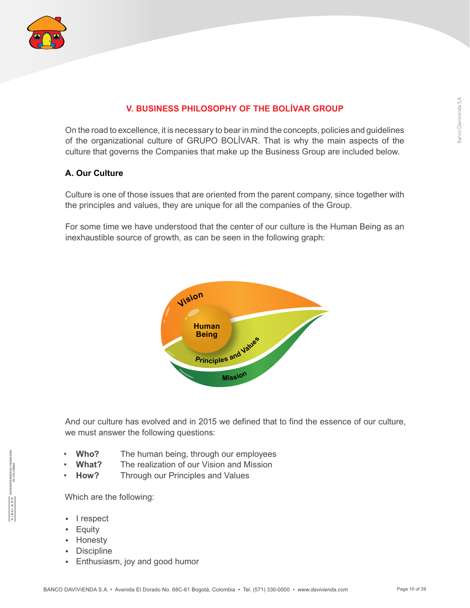

#### **V. BUSINESS PHILOSOPHY OF THE BOLÍVAR GROUP**

On the road to excellence, it is necessary to bear in mind the concepts, policies and guidelines of the organizational culture of GRUPO BOLÍVAR. That is why the main aspects of the culture that governs the Companies that make up the Business Group are included below.

#### **A. Our Culture**

Culture is one of those issues that are oriented from the parent company, since together with the principles and values, they are unique for all the companies of the Group.

For some time we have understood that the center of our culture is the Human Being as an inexhaustible source of growth, as can be seen in the following graph:



And our culture has evolved and in 2015 we defined that to find the essence of our culture, we must answer the following questions:

- **Who?** The human being, through our employees
- **What?** The realization of our Vision and Mission
- **How?** Through our Principles and Values

Which are the following:

- I respect
- Equity
- Honesty
- Discipline
- Enthusiasm, joy and good humor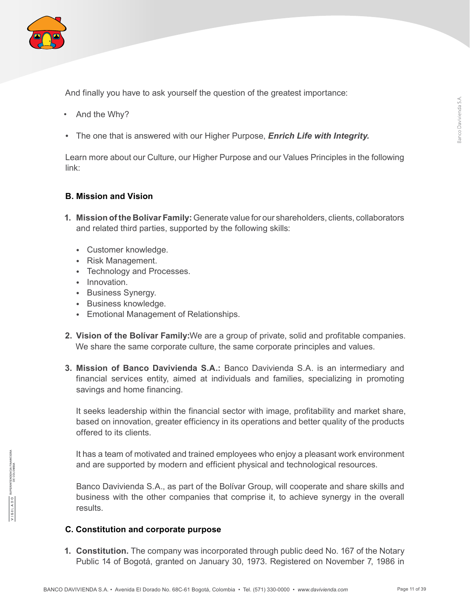

And finally you have to ask yourself the question of the greatest importance:

- And the Why?
- The one that is answered with our Higher Purpose, *Enrich Life with Integrity.*

Learn more about our Culture, our Higher Purpose and our Values Principles in the following link:

#### **B. Mission and Vision**

- **1. Mission of the Bolívar Family:** Generate value for our shareholders, clients, collaborators and related third parties, supported by the following skills:
	- Customer knowledge.
	- Risk Management.
	- Technology and Processes.
	- Innovation.
	- Business Synergy.
	- Business knowledge.
	- Emotional Management of Relationships.
- **2. Vision of the Bolívar Family:**We are a group of private, solid and profitable companies. We share the same corporate culture, the same corporate principles and values.
- **3. Mission of Banco Davivienda S.A.:** Banco Davivienda S.A. is an intermediary and financial services entity, aimed at individuals and families, specializing in promoting savings and home financing.

It seeks leadership within the financial sector with image, profitability and market share, based on innovation, greater efficiency in its operations and better quality of the products offered to its clients.

It has a team of motivated and trained employees who enjoy a pleasant work environment and are supported by modern and efficient physical and technological resources.

Banco Davivienda S.A., as part of the Bolívar Group, will cooperate and share skills and business with the other companies that comprise it, to achieve synergy in the overall results.

#### **C. Constitution and corporate purpose**

**1. Constitution.** The company was incorporated through public deed No. 167 of the Notary Public 14 of Bogotá, granted on January 30, 1973. Registered on November 7, 1986 in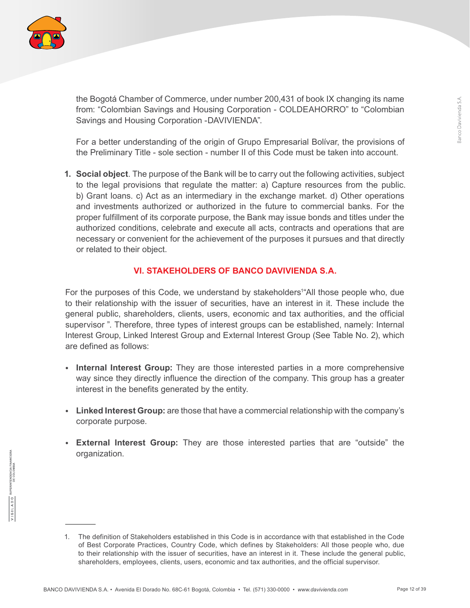

the Bogotá Chamber of Commerce, under number 200,431 of book IX changing its name from: "Colombian Savings and Housing Corporation - COLDEAHORRO" to "Colombian Savings and Housing Corporation -DAVIVIENDA".

For a better understanding of the origin of Grupo Empresarial Bolívar, the provisions of the Preliminary Title - sole section - number II of this Code must be taken into account.

**1. Social object**. The purpose of the Bank will be to carry out the following activities, subject to the legal provisions that regulate the matter: a) Capture resources from the public. b) Grant loans. c) Act as an intermediary in the exchange market. d) Other operations and investments authorized or authorized in the future to commercial banks. For the proper fulfillment of its corporate purpose, the Bank may issue bonds and titles under the authorized conditions, celebrate and execute all acts, contracts and operations that are necessary or convenient for the achievement of the purposes it pursues and that directly or related to their object.

#### **VI. STAKEHOLDERS OF BANCO DAVIVIENDA S.A.**

For the purposes of this Code, we understand by stakeholders<sup>1</sup> All those people who, due to their relationship with the issuer of securities, have an interest in it. These include the general public, shareholders, clients, users, economic and tax authorities, and the official supervisor ". Therefore, three types of interest groups can be established, namely: Internal Interest Group, Linked Interest Group and External Interest Group (See Table No. 2), which are defined as follows:

- **Internal Interest Group:** They are those interested parties in a more comprehensive way since they directly influence the direction of the company. This group has a greater interest in the benefits generated by the entity.
- **Linked Interest Group:** are those that have a commercial relationship with the company's corporate purpose.
- **External Interest Group:** They are those interested parties that are "outside" the organization.

<sup>1.</sup> The definition of Stakeholders established in this Code is in accordance with that established in the Code of Best Corporate Practices, Country Code, which defines by Stakeholders: All those people who, due to their relationship with the issuer of securities, have an interest in it. These include the general public, shareholders, employees, clients, users, economic and tax authorities, and the official supervisor.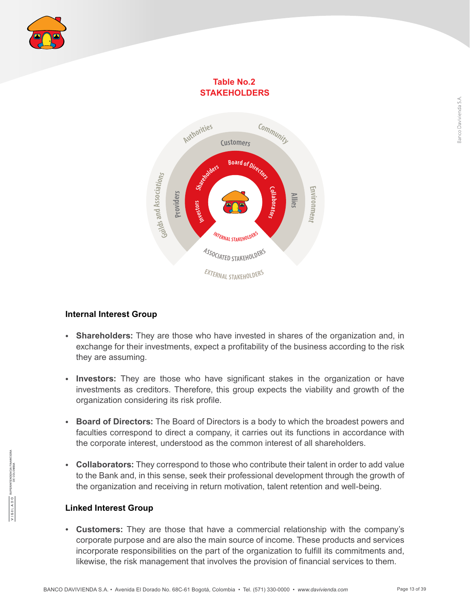

#### **Table No.2 STAKEHOLDERS**



#### **Internal Interest Group**

- **Shareholders:** They are those who have invested in shares of the organization and, in exchange for their investments, expect a profitability of the business according to the risk they are assuming.
- **Investors:** They are those who have significant stakes in the organization or have investments as creditors. Therefore, this group expects the viability and growth of the organization considering its risk profile.
- **Board of Directors:** The Board of Directors is a body to which the broadest powers and faculties correspond to direct a company, it carries out its functions in accordance with the corporate interest, understood as the common interest of all shareholders.
- **Collaborators:** They correspond to those who contribute their talent in order to add value to the Bank and, in this sense, seek their professional development through the growth of the organization and receiving in return motivation, talent retention and well-being.

#### **Linked Interest Group**

• **Customers:** They are those that have a commercial relationship with the company's corporate purpose and are also the main source of income. These products and services incorporate responsibilities on the part of the organization to fulfill its commitments and, likewise, the risk management that involves the provision of financial services to them.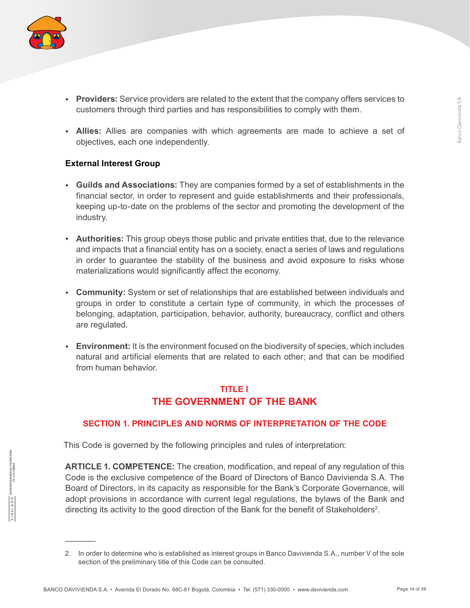

- **Providers:** Service providers are related to the extent that the company offers services to customers through third parties and has responsibilities to comply with them.
- **Allies:** Allies are companies with which agreements are made to achieve a set of objectives, each one independently.

#### **External Interest Group**

- **Guilds and Associations:** They are companies formed by a set of establishments in the financial sector, in order to represent and guide establishments and their professionals, keeping up-to-date on the problems of the sector and promoting the development of the industry.
- **Authorities:** This group obeys those public and private entities that, due to the relevance and impacts that a financial entity has on a society, enact a series of laws and regulations in order to guarantee the stability of the business and avoid exposure to risks whose materializations would significantly affect the economy.
- **Community:** System or set of relationships that are established between individuals and groups in order to constitute a certain type of community, in which the processes of belonging, adaptation, participation, behavior, authority, bureaucracy, conflict and others are regulated.
- **Environment:** It is the environment focused on the biodiversity of species, which includes natural and artificial elements that are related to each other; and that can be modified from human behavior.

## **TITLE I THE GOVERNMENT OF THE BANK**

#### **SECTION 1. PRINCIPLES AND NORMS OF INTERPRETATION OF THE CODE**

This Code is governed by the following principles and rules of interpretation:

**ARTICLE 1. COMPETENCE:** The creation, modification, and repeal of any regulation of this Code is the exclusive competence of the Board of Directors of Banco Davivienda S.A. The Board of Directors, in its capacity as responsible for the Bank's Corporate Governance, will adopt provisions in accordance with current legal regulations, the bylaws of the Bank and directing its activity to the good direction of the Bank for the benefit of Stakeholders<sup>2</sup>.

<sup>2.</sup> In order to determine who is established as interest groups in Banco Davivienda S.A., number V of the sole section of the preliminary title of this Code can be consulted.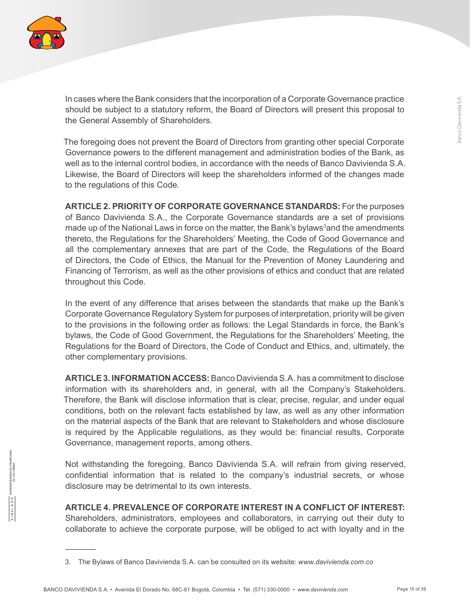

In cases where the Bank considers that the incorporation of a Corporate Governance practice should be subject to a statutory reform, the Board of Directors will present this proposal to the General Assembly of Shareholders.

The foregoing does not prevent the Board of Directors from granting other special Corporate Governance powers to the different management and administration bodies of the Bank, as well as to the internal control bodies, in accordance with the needs of Banco Davivienda S.A. Likewise, the Board of Directors will keep the shareholders informed of the changes made to the regulations of this Code.

**ARTICLE 2. PRIORITY OF CORPORATE GOVERNANCE STANDARDS:** For the purposes of Banco Davivienda S.A., the Corporate Governance standards are a set of provisions made up of the National Laws in force on the matter, the Bank's bylaws<sup>3</sup>and the amendments thereto, the Regulations for the Shareholders' Meeting, the Code of Good Governance and all the complementary annexes that are part of the Code, the Regulations of the Board of Directors, the Code of Ethics, the Manual for the Prevention of Money Laundering and Financing of Terrorism, as well as the other provisions of ethics and conduct that are related throughout this Code.

In the event of any difference that arises between the standards that make up the Bank's Corporate Governance Regulatory System for purposes of interpretation, priority will be given to the provisions in the following order as follows: the Legal Standards in force, the Bank's bylaws, the Code of Good Government, the Regulations for the Shareholders' Meeting, the Regulations for the Board of Directors, the Code of Conduct and Ethics, and, ultimately, the other complementary provisions.

**ARTICLE 3. INFORMATION ACCESS:**Banco DaviviendaS.A. has a commitment to disclose information with its shareholders and, in general, with all the Company's Stakeholders. Therefore, the Bank will disclose information that is clear, precise, regular, and under equal conditions, both on the relevant facts established by law, as well as any other information on the material aspects of the Bank that are relevant to Stakeholders and whose disclosure is required by the Applicable regulations, as they would be: financial results, Corporate Governance, management reports, among others.

Not withstanding the foregoing, Banco Davivienda S.A. will refrain from giving reserved, confidential information that is related to the company's industrial secrets, or whose disclosure may be detrimental to its own interests.

**ARTICLE 4. PREVALENCE OF CORPORATE INTEREST IN A CONFLICT OF INTEREST:** Shareholders, administrators, employees and collaborators, in carrying out their duty to collaborate to achieve the corporate purpose, will be obliged to act with loyalty and in the

<sup>3.</sup> The Bylaws of Banco Davivienda S.A. can be consulted on its website: *www.davivienda.com.co*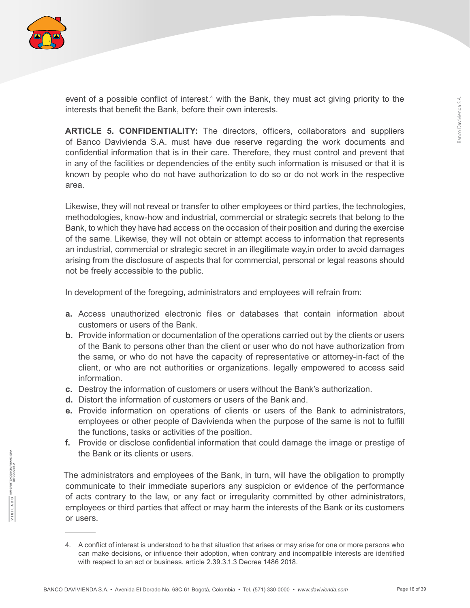

event of a possible conflict of interest.<sup>4</sup> with the Bank, they must act giving priority to the interests that benefit the Bank, before their own interests.

**ARTICLE 5. CONFIDENTIALITY:** The directors, officers, collaborators and suppliers of Banco Davivienda S.A. must have due reserve regarding the work documents and confidential information that is in their care. Therefore, they must control and prevent that in any of the facilities or dependencies of the entity such information is misused or that it is known by people who do not have authorization to do so or do not work in the respective area.

Likewise, they will not reveal or transfer to other employees or third parties, the technologies, methodologies, know-how and industrial, commercial or strategic secrets that belong to the Bank, to which they have had access on the occasion of their position and during the exercise of the same. Likewise, they will not obtain or attempt access to information that represents an industrial, commercial or strategic secret in an illegitimate way,in order to avoid damages arising from the disclosure of aspects that for commercial, personal or legal reasons should not be freely accessible to the public.

In development of the foregoing, administrators and employees will refrain from:

- **a.** Access unauthorized electronic files or databases that contain information about customers or users of the Bank.
- **b.** Provide information or documentation of the operations carried out by the clients or users of the Bank to persons other than the client or user who do not have authorization from the same, or who do not have the capacity of representative or attorney-in-fact of the client, or who are not authorities or organizations. legally empowered to access said information.
- **c.** Destroy the information of customers or users without the Bank's authorization.
- **d.** Distort the information of customers or users of the Bank and.
- **e.** Provide information on operations of clients or users of the Bank to administrators, employees or other people of Davivienda when the purpose of the same is not to fulfill the functions, tasks or activities of the position.
- **f.** Provide or disclose confidential information that could damage the image or prestige of the Bank or its clients or users.

The administrators and employees of the Bank, in turn, will have the obligation to promptly communicate to their immediate superiors any suspicion or evidence of the performance of acts contrary to the law, or any fact or irregularity committed by other administrators, employees or third parties that affect or may harm the interests of the Bank or its customers or users.

<sup>4.</sup> A conflict of interest is understood to be that situation that arises or may arise for one or more persons who can make decisions, or influence their adoption, when contrary and incompatible interests are identified with respect to an act or business. article 2.39.3.1.3 Decree 1486 2018.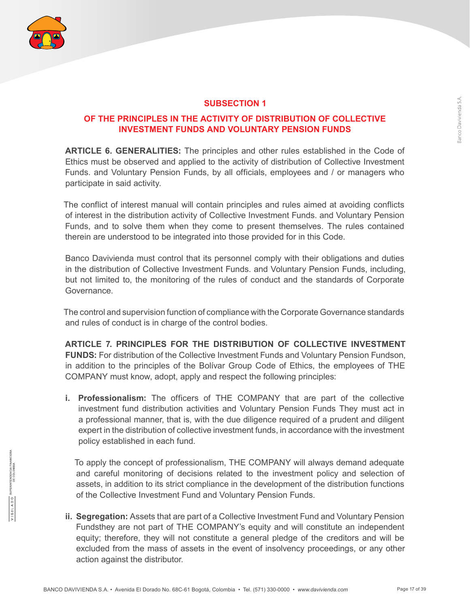

#### **OF THE PRINCIPLES IN THE ACTIVITY OF DISTRIBUTION OF COLLECTIVE INVESTMENT FUNDS AND VOLUNTARY PENSION FUNDS**

**SUBSECTION 1**

**ARTICLE 6. GENERALITIES:** The principles and other rules established in the Code of Ethics must be observed and applied to the activity of distribution of Collective Investment Funds. and Voluntary Pension Funds, by all officials, employees and / or managers who participate in said activity.

The conflict of interest manual will contain principles and rules aimed at avoiding conflicts of interest in the distribution activity of Collective Investment Funds. and Voluntary Pension Funds, and to solve them when they come to present themselves. The rules contained therein are understood to be integrated into those provided for in this Code.

Banco Davivienda must control that its personnel comply with their obligations and duties in the distribution of Collective Investment Funds. and Voluntary Pension Funds, including, but not limited to, the monitoring of the rules of conduct and the standards of Corporate Governance.

The control and supervision function of compliance with the Corporate Governance standards and rules of conduct is in charge of the control bodies.

**ARTICLE 7. PRINCIPLES FOR THE DISTRIBUTION OF COLLECTIVE INVESTMENT FUNDS:** For distribution of the Collective Investment Funds and Voluntary Pension Fundson, in addition to the principles of the Bolívar Group Code of Ethics, the employees of THE COMPANY must know, adopt, apply and respect the following principles:

**i. Professionalism:** The officers of THE COMPANY that are part of the collective investment fund distribution activities and Voluntary Pension Funds They must act in a professional manner, that is, with the due diligence required of a prudent and diligent expert in the distribution of collective investment funds, in accordance with the investment policy established in each fund.

To apply the concept of professionalism, THE COMPANY will always demand adequate and careful monitoring of decisions related to the investment policy and selection of assets, in addition to its strict compliance in the development of the distribution functions of the Collective Investment Fund and Voluntary Pension Funds.

**ii. Segregation:** Assets that are part of a Collective Investment Fund and Voluntary Pension Fundsthey are not part of THE COMPANY's equity and will constitute an independent equity; therefore, they will not constitute a general pledge of the creditors and will be excluded from the mass of assets in the event of insolvency proceedings, or any other action against the distributor.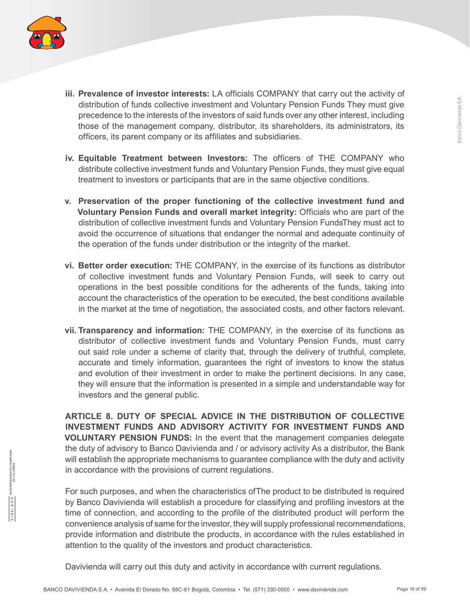

- **iii. Prevalence of investor interests:** LA officials COMPANY that carry out the activity of distribution of funds collective investment and Voluntary Pension Funds They must give precedence to the interests of the investors of said funds over any other interest, including those of the management company, distributor, its shareholders, its administrators, its officers, its parent company or its affiliates and subsidiaries.
- **iv. Equitable Treatment between Investors:** The officers of THE COMPANY who distribute collective investment funds and Voluntary Pension Funds, they must give equal treatment to investors or participants that are in the same objective conditions.
- **v. Preservation of the proper functioning of the collective investment fund and Voluntary Pension Funds and overall market integrity:** Officials who are part of the distribution of collective investment funds and Voluntary Pension FundsThey must act to avoid the occurrence of situations that endanger the normal and adequate continuity of the operation of the funds under distribution or the integrity of the market.
- **vi. Better order execution:** THE COMPANY, in the exercise of its functions as distributor of collective investment funds and Voluntary Pension Funds, will seek to carry out operations in the best possible conditions for the adherents of the funds, taking into account the characteristics of the operation to be executed, the best conditions available in the market at the time of negotiation, the associated costs, and other factors relevant.
- **vii. Transparency and information:** THE COMPANY, in the exercise of its functions as distributor of collective investment funds and Voluntary Pension Funds, must carry out said role under a scheme of clarity that, through the delivery of truthful, complete, accurate and timely information, guarantees the right of investors to know the status and evolution of their investment in order to make the pertinent decisions. In any case, they will ensure that the information is presented in a simple and understandable way for investors and the general public.

**ARTICLE 8. DUTY OF SPECIAL ADVICE IN THE DISTRIBUTION OF COLLECTIVE INVESTMENT FUNDS AND ADVISORY ACTIVITY FOR INVESTMENT FUNDS AND VOLUNTARY PENSION FUNDS:** In the event that the management companies delegate the duty of advisory to Banco Davivienda and / or advisory activity As a distributor, the Bank will establish the appropriate mechanisms to guarantee compliance with the duty and activity in accordance with the provisions of current regulations.

For such purposes, and when the characteristics ofThe product to be distributed is required by Banco Davivienda will establish a procedure for classifying and profiling investors at the time of connection, and according to the profile of the distributed product will perform the convenience analysis of same for the investor, they will supply professional recommendations, provide information and distribute the products, in accordance with the rules established in attention to the quality of the investors and product characteristics.

Davivienda will carry out this duty and activity in accordance with current regulations.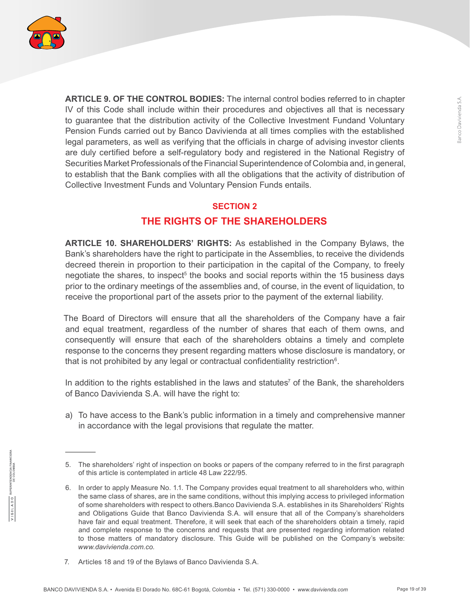

**ARTICLE 9. OF THE CONTROL BODIES:** The internal control bodies referred to in chapter IV of this Code shall include within their procedures and objectives all that is necessary to guarantee that the distribution activity of the Collective Investment Fundand Voluntary Pension Funds carried out by Banco Davivienda at all times complies with the established legal parameters, as well as verifying that the officials in charge of advising investor clients are duly certified before a self-regulatory body and registered in the National Registry of Securities Market Professionals of the Financial Superintendence of Colombia and, in general, to establish that the Bank complies with all the obligations that the activity of distribution of Collective Investment Funds and Voluntary Pension Funds entails.

#### **SECTION 2**

## **THE RIGHTS OF THE SHAREHOLDERS**

**ARTICLE 10. SHAREHOLDERS' RIGHTS:** As established in the Company Bylaws, the Bank's shareholders have the right to participate in the Assemblies, to receive the dividends decreed therein in proportion to their participation in the capital of the Company, to freely negotiate the shares, to inspect<sup>5</sup> the books and social reports within the 15 business days prior to the ordinary meetings of the assemblies and, of course, in the event of liquidation, to receive the proportional part of the assets prior to the payment of the external liability.

The Board of Directors will ensure that all the shareholders of the Company have a fair and equal treatment, regardless of the number of shares that each of them owns, and consequently will ensure that each of the shareholders obtains a timely and complete response to the concerns they present regarding matters whose disclosure is mandatory, or that is not prohibited by any legal or contractual confidentiality restriction<sup>6</sup>.

In addition to the rights established in the laws and statutes<sup>7</sup> of the Bank, the shareholders of Banco Davivienda S.A. will have the right to:

a) To have access to the Bank's public information in a timely and comprehensive manner in accordance with the legal provisions that regulate the matter.

<sup>5.</sup> The shareholders' right of inspection on books or papers of the company referred to in the first paragraph of this article is contemplated in article 48 Law 222/95.

<sup>6.</sup> In order to apply Measure No. 1.1. The Company provides equal treatment to all shareholders who, within the same class of shares, are in the same conditions, without this implying access to privileged information of some shareholders with respect to others.Banco Davivienda S.A. establishes in its Shareholders' Rights and Obligations Guide that Banco Davivienda S.A. will ensure that all of the Company's shareholders have fair and equal treatment. Therefore, it will seek that each of the shareholders obtain a timely, rapid and complete response to the concerns and requests that are presented regarding information related to those matters of mandatory disclosure. This Guide will be published on the Company's website: *www.davivienda.com.co.*

<sup>7.</sup> Articles 18 and 19 of the Bylaws of Banco Davivienda S.A.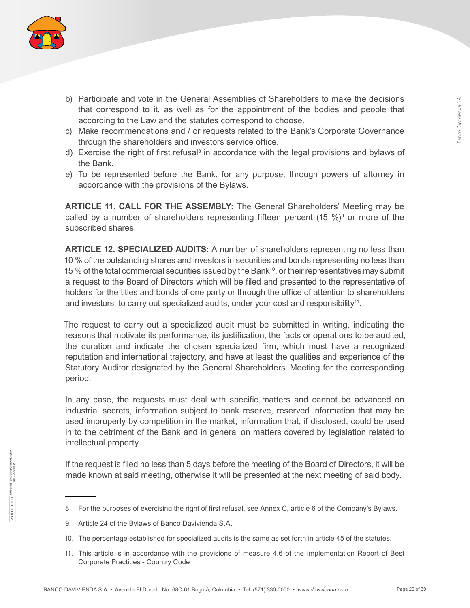

- b) Participate and vote in the General Assemblies of Shareholders to make the decisions that correspond to it, as well as for the appointment of the bodies and people that according to the Law and the statutes correspond to choose.
- c) Make recommendations and / or requests related to the Bank's Corporate Governance through the shareholders and investors service office.
- d) Exercise the right of first refusal<sup>8</sup> in accordance with the legal provisions and bylaws of the Bank.
- e) To be represented before the Bank, for any purpose, through powers of attorney in accordance with the provisions of the Bylaws.

**ARTICLE 11. CALL FOR THE ASSEMBLY:** The General Shareholders' Meeting may be called by a number of shareholders representing fifteen percent  $(15 \%)^9$  or more of the subscribed shares.

**ARTICLE 12. SPECIALIZED AUDITS:** A number of shareholders representing no less than 10 % of the outstanding shares and investors in securities and bonds representing no less than 15 % of the total commercial securities issued by the Bank<sup>10</sup>, or their representatives may submit a request to the Board of Directors which will be filed and presented to the representative of holders for the titles and bonds of one party or through the office of attention to shareholders and investors, to carry out specialized audits, under your cost and responsibility<sup>11</sup>.

The request to carry out a specialized audit must be submitted in writing, indicating the reasons that motivate its performance, its justification, the facts or operations to be audited, the duration and indicate the chosen specialized firm, which must have a recognized reputation and international trajectory, and have at least the qualities and experience of the Statutory Auditor designated by the General Shareholders' Meeting for the corresponding period.

In any case, the requests must deal with specific matters and cannot be advanced on industrial secrets, information subject to bank reserve, reserved information that may be used improperly by competition in the market, information that, if disclosed, could be used in to the detriment of the Bank and in general on matters covered by legislation related to intellectual property.

If the request is filed no less than 5 days before the meeting of the Board of Directors, it will be made known at said meeting, otherwise it will be presented at the next meeting of said body.

- 10. The percentage established for specialized audits is the same as set forth in article 45 of the statutes.
- 11. This article is in accordance with the provisions of measure 4.6 of the Implementation Report of Best Corporate Practices - Country Code

<sup>8.</sup> For the purposes of exercising the right of first refusal, see Annex C, article 6 of the Company's Bylaws.

<sup>9.</sup> Article 24 of the Bylaws of Banco Davivienda S.A.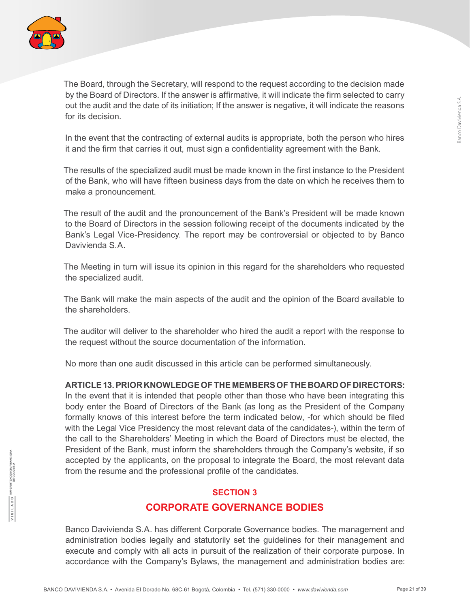

The Board, through the Secretary, will respond to the request according to the decision made by the Board of Directors. If the answer is affirmative, it will indicate the firm selected to carry out the audit and the date of its initiation; If the answer is negative, it will indicate the reasons for its decision.

In the event that the contracting of external audits is appropriate, both the person who hires it and the firm that carries it out, must sign a confidentiality agreement with the Bank.

The results of the specialized audit must be made known in the first instance to the President of the Bank, who will have fifteen business days from the date on which he receives them to make a pronouncement.

The result of the audit and the pronouncement of the Bank's President will be made known to the Board of Directors in the session following receipt of the documents indicated by the Bank's Legal Vice-Presidency. The report may be controversial or objected to by Banco Davivienda S.A.

The Meeting in turn will issue its opinion in this regard for the shareholders who requested the specialized audit.

The Bank will make the main aspects of the audit and the opinion of the Board available to the shareholders.

The auditor will deliver to the shareholder who hired the audit a report with the response to the request without the source documentation of the information.

No more than one audit discussed in this article can be performed simultaneously.

#### **ARTICLE 13. PRIOR KNOWLEDGE OF THE MEMBERS OF THE BOARD OF DIRECTORS:**

In the event that it is intended that people other than those who have been integrating this body enter the Board of Directors of the Bank (as long as the President of the Company formally knows of this interest before the term indicated below, -for which should be filed with the Legal Vice Presidency the most relevant data of the candidates-), within the term of the call to the Shareholders' Meeting in which the Board of Directors must be elected, the President of the Bank, must inform the shareholders through the Company's website, if so accepted by the applicants, on the proposal to integrate the Board, the most relevant data from the resume and the professional profile of the candidates.

## **SECTION 3 CORPORATE GOVERNANCE BODIES**

Banco Davivienda S.A. has different Corporate Governance bodies. The management and administration bodies legally and statutorily set the guidelines for their management and execute and comply with all acts in pursuit of the realization of their corporate purpose. In accordance with the Company's Bylaws, the management and administration bodies are: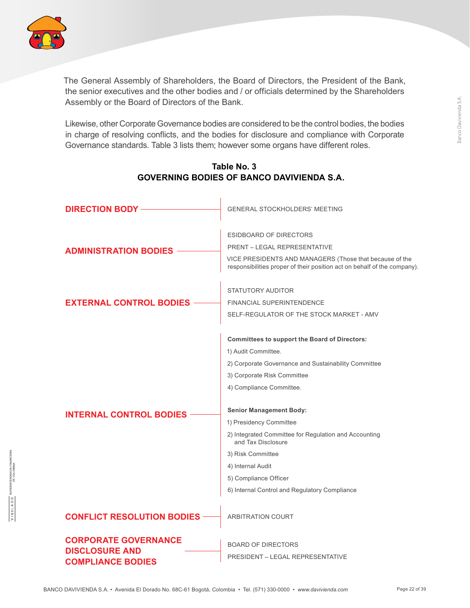

The General Assembly of Shareholders, the Board of Directors, the President of the Bank, the senior executives and the other bodies and / or officials determined by the Shareholders Assembly or the Board of Directors of the Bank.

Likewise, other Corporate Governance bodies are considered to be the control bodies, the bodies in charge of resolving conflicts, and the bodies for disclosure and compliance with Corporate Governance standards. Table 3 lists them; however some organs have different roles.

| <b>DIRECTION BODY</b>                                                            | <b>GENERAL STOCKHOLDERS' MEETING</b>                                                                                                                                                                                                                                                                                                                                                                                                                           |
|----------------------------------------------------------------------------------|----------------------------------------------------------------------------------------------------------------------------------------------------------------------------------------------------------------------------------------------------------------------------------------------------------------------------------------------------------------------------------------------------------------------------------------------------------------|
| <b>ADMINISTRATION BODIES</b>                                                     | ESIDBOARD OF DIRECTORS<br><b>PRENT - LEGAL REPRESENTATIVE</b><br>VICE PRESIDENTS AND MANAGERS (Those that because of the<br>responsibilities proper of their position act on behalf of the company).                                                                                                                                                                                                                                                           |
| <b>EXTERNAL CONTROL BODIES</b>                                                   | STATUTORY AUDITOR<br><b>FINANCIAL SUPERINTENDENCE</b><br>SELF-REGULATOR OF THE STOCK MARKET - AMV                                                                                                                                                                                                                                                                                                                                                              |
| <b>INTERNAL CONTROL BODIES</b>                                                   | <b>Committees to support the Board of Directors:</b><br>1) Audit Committee.<br>2) Corporate Governance and Sustainability Committee<br>3) Corporate Risk Committee<br>4) Compliance Committee.<br><b>Senior Management Body:</b><br>1) Presidency Committee<br>2) Integrated Committee for Regulation and Accounting<br>and Tax Disclosure<br>3) Risk Committee<br>4) Internal Audit<br>5) Compliance Officer<br>6) Internal Control and Regulatory Compliance |
| <b>CONFLICT RESOLUTION BODIES</b>                                                | <b>ARBITRATION COURT</b>                                                                                                                                                                                                                                                                                                                                                                                                                                       |
| <b>CORPORATE GOVERNANCE</b><br><b>DISCLOSURE AND</b><br><b>COMPLIANCE BODIES</b> | <b>BOARD OF DIRECTORS</b><br><b>PRESIDENT - LEGAL REPRESENTATIVE</b>                                                                                                                                                                                                                                                                                                                                                                                           |

#### **Table No. 3 GOVERNING BODIES OF BANCO DAVIVIENDA S.A.**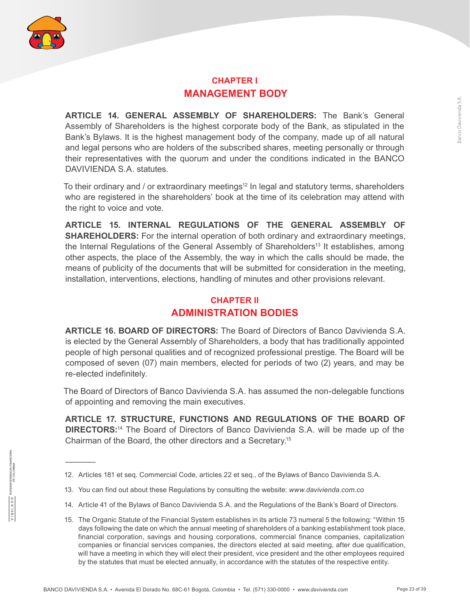

#### **CHAPTER I MANAGEMENT BODY**

**ARTICLE 14. GENERAL ASSEMBLY OF SHAREHOLDERS:** The Bank's General Assembly of Shareholders is the highest corporate body of the Bank, as stipulated in the Bank's Bylaws. It is the highest management body of the company, made up of all natural and legal persons who are holders of the subscribed shares, meeting personally or through their representatives with the quorum and under the conditions indicated in the BANCO DAVIVIENDA S.A. statutes.

To their ordinary and / or extraordinary meetings<sup>12</sup> In legal and statutory terms, shareholders who are registered in the shareholders' book at the time of its celebration may attend with the right to voice and vote.

**ARTICLE 15. INTERNAL REGULATIONS OF THE GENERAL ASSEMBLY OF SHAREHOLDERS:** For the internal operation of both ordinary and extraordinary meetings, the Internal Regulations of the General Assembly of Shareholders<sup>13</sup> It establishes, among other aspects, the place of the Assembly, the way in which the calls should be made, the means of publicity of the documents that will be submitted for consideration in the meeting, installation, interventions, elections, handling of minutes and other provisions relevant.

## **CHAPTER II ADMINISTRATION BODIES**

**ARTICLE 16. BOARD OF DIRECTORS:** The Board of Directors of Banco Davivienda S.A. is elected by the General Assembly of Shareholders, a body that has traditionally appointed people of high personal qualities and of recognized professional prestige. The Board will be composed of seven (07) main members, elected for periods of two (2) years, and may be re-elected indefinitely.

The Board of Directors of Banco Davivienda S.A. has assumed the non-delegable functions of appointing and removing the main executives.

**ARTICLE 17. STRUCTURE, FUNCTIONS AND REGULATIONS OF THE BOARD OF DIRECTORS:**14 The Board of Directors of Banco Davivienda S.A. will be made up of the Chairman of the Board, the other directors and a Secretary.15

<sup>12.</sup> Articles 181 et seq. Commercial Code, articles 22 et seq., of the Bylaws of Banco Davivienda S.A.

<sup>13.</sup> You can find out about these Regulations by consulting the website: *www.davivienda.com.co*

<sup>14.</sup> Article 41 of the Bylaws of Banco Davivienda S.A. and the Regulations of the Bank's Board of Directors.

<sup>15.</sup> The Organic Statute of the Financial System establishes in its article 73 numeral 5 the following: "Within 15 days following the date on which the annual meeting of shareholders of a banking establishment took place, financial corporation, savings and housing corporations, commercial finance companies, capitalization companies or financial services companies, the directors elected at said meeting, after due qualification, will have a meeting in which they will elect their president, vice president and the other employees required by the statutes that must be elected annually, in accordance with the statutes of the respective entity.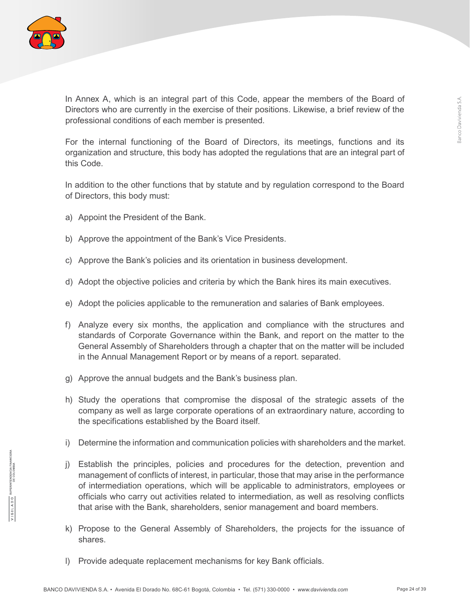

In Annex A, which is an integral part of this Code, appear the members of the Board of Directors who are currently in the exercise of their positions. Likewise, a brief review of the professional conditions of each member is presented.

For the internal functioning of the Board of Directors, its meetings, functions and its organization and structure, this body has adopted the regulations that are an integral part of this Code.

In addition to the other functions that by statute and by regulation correspond to the Board of Directors, this body must:

- a) Appoint the President of the Bank.
- b) Approve the appointment of the Bank's Vice Presidents.
- c) Approve the Bank's policies and its orientation in business development.
- d) Adopt the objective policies and criteria by which the Bank hires its main executives.
- e) Adopt the policies applicable to the remuneration and salaries of Bank employees.
- f) Analyze every six months, the application and compliance with the structures and standards of Corporate Governance within the Bank, and report on the matter to the General Assembly of Shareholders through a chapter that on the matter will be included in the Annual Management Report or by means of a report. separated.
- g) Approve the annual budgets and the Bank's business plan.
- h) Study the operations that compromise the disposal of the strategic assets of the company as well as large corporate operations of an extraordinary nature, according to the specifications established by the Board itself.
- i) Determine the information and communication policies with shareholders and the market.
- j) Establish the principles, policies and procedures for the detection, prevention and management of conflicts of interest, in particular, those that may arise in the performance of intermediation operations, which will be applicable to administrators, employees or officials who carry out activities related to intermediation, as well as resolving conflicts that arise with the Bank, shareholders, senior management and board members.
- k) Propose to the General Assembly of Shareholders, the projects for the issuance of shares.
- l) Provide adequate replacement mechanisms for key Bank officials.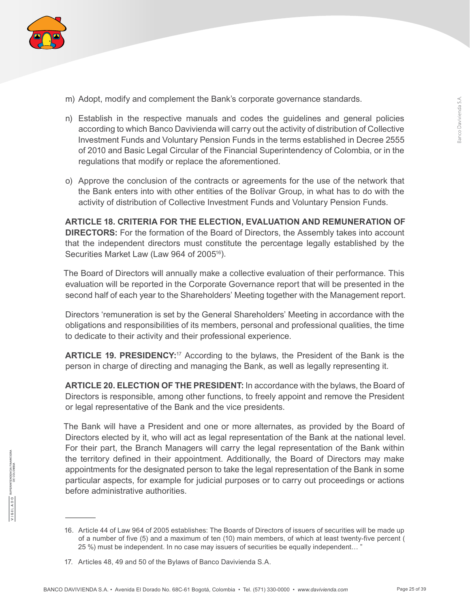

- m) Adopt, modify and complement the Bank's corporate governance standards.
- n) Establish in the respective manuals and codes the guidelines and general policies according to which Banco Davivienda will carry out the activity of distribution of Collective Investment Funds and Voluntary Pension Funds in the terms established in Decree 2555 of 2010 and Basic Legal Circular of the Financial Superintendency of Colombia, or in the regulations that modify or replace the aforementioned.
- o) Approve the conclusion of the contracts or agreements for the use of the network that the Bank enters into with other entities of the Bolívar Group, in what has to do with the activity of distribution of Collective Investment Funds and Voluntary Pension Funds.

**ARTICLE 18. CRITERIA FOR THE ELECTION, EVALUATION AND REMUNERATION OF DIRECTORS:** For the formation of the Board of Directors, the Assembly takes into account that the independent directors must constitute the percentage legally established by the Securities Market Law (Law 964 of 2005<sup>16</sup>).

The Board of Directors will annually make a collective evaluation of their performance. This evaluation will be reported in the Corporate Governance report that will be presented in the second half of each year to the Shareholders' Meeting together with the Management report.

Directors 'remuneration is set by the General Shareholders' Meeting in accordance with the obligations and responsibilities of its members, personal and professional qualities, the time to dedicate to their activity and their professional experience.

**ARTICLE 19. PRESIDENCY:**17 According to the bylaws, the President of the Bank is the person in charge of directing and managing the Bank, as well as legally representing it.

**ARTICLE 20. ELECTION OF THE PRESIDENT:** In accordance with the bylaws, the Board of Directors is responsible, among other functions, to freely appoint and remove the President or legal representative of the Bank and the vice presidents.

The Bank will have a President and one or more alternates, as provided by the Board of Directors elected by it, who will act as legal representation of the Bank at the national level. For their part, the Branch Managers will carry the legal representation of the Bank within the territory defined in their appointment. Additionally, the Board of Directors may make appointments for the designated person to take the legal representation of the Bank in some particular aspects, for example for judicial purposes or to carry out proceedings or actions before administrative authorities.

<sup>16.</sup> Article 44 of Law 964 of 2005 establishes: The Boards of Directors of issuers of securities will be made up of a number of five (5) and a maximum of ten (10) main members, of which at least twenty-five percent ( 25 %) must be independent. In no case may issuers of securities be equally independent… "

<sup>17.</sup> Articles 48, 49 and 50 of the Bylaws of Banco Davivienda S.A.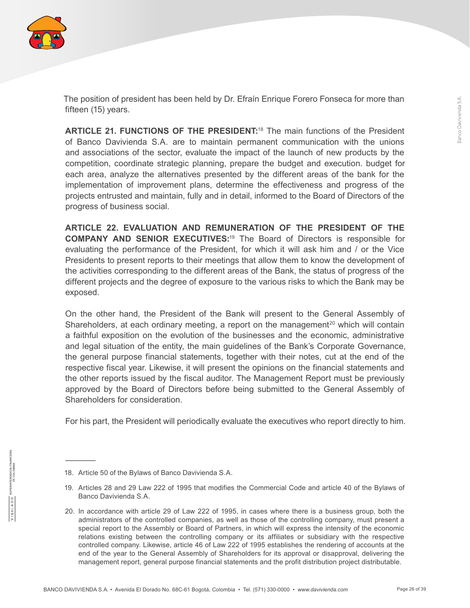

The position of president has been held by Dr. Efraín Enrique Forero Fonseca for more than fifteen (15) years.

**ARTICLE 21. FUNCTIONS OF THE PRESIDENT:**18 The main functions of the President of Banco Davivienda S.A. are to maintain permanent communication with the unions and associations of the sector, evaluate the impact of the launch of new products by the competition, coordinate strategic planning, prepare the budget and execution. budget for each area, analyze the alternatives presented by the different areas of the bank for the implementation of improvement plans, determine the effectiveness and progress of the projects entrusted and maintain, fully and in detail, informed to the Board of Directors of the progress of business social.

**ARTICLE 22. EVALUATION AND REMUNERATION OF THE PRESIDENT OF THE COMPANY AND SENIOR EXECUTIVES:**19 The Board of Directors is responsible for evaluating the performance of the President, for which it will ask him and / or the Vice Presidents to present reports to their meetings that allow them to know the development of the activities corresponding to the different areas of the Bank, the status of progress of the different projects and the degree of exposure to the various risks to which the Bank may be exposed.

On the other hand, the President of the Bank will present to the General Assembly of Shareholders, at each ordinary meeting, a report on the management<sup>20</sup> which will contain a faithful exposition on the evolution of the businesses and the economic, administrative and legal situation of the entity, the main guidelines of the Bank's Corporate Governance, the general purpose financial statements, together with their notes, cut at the end of the respective fiscal year. Likewise, it will present the opinions on the financial statements and the other reports issued by the fiscal auditor. The Management Report must be previously approved by the Board of Directors before being submitted to the General Assembly of Shareholders for consideration.

For his part, the President will periodically evaluate the executives who report directly to him.

<sup>18.</sup> Article 50 of the Bylaws of Banco Davivienda S.A.

<sup>19.</sup> Articles 28 and 29 Law 222 of 1995 that modifies the Commercial Code and article 40 of the Bylaws of Banco Davivienda S.A.

<sup>20.</sup> In accordance with article 29 of Law 222 of 1995, in cases where there is a business group, both the administrators of the controlled companies, as well as those of the controlling company, must present a special report to the Assembly or Board of Partners, in which will express the intensity of the economic relations existing between the controlling company or its affiliates or subsidiary with the respective controlled company. Likewise, article 46 of Law 222 of 1995 establishes the rendering of accounts at the end of the year to the General Assembly of Shareholders for its approval or disapproval, delivering the management report, general purpose financial statements and the profit distribution project distributable.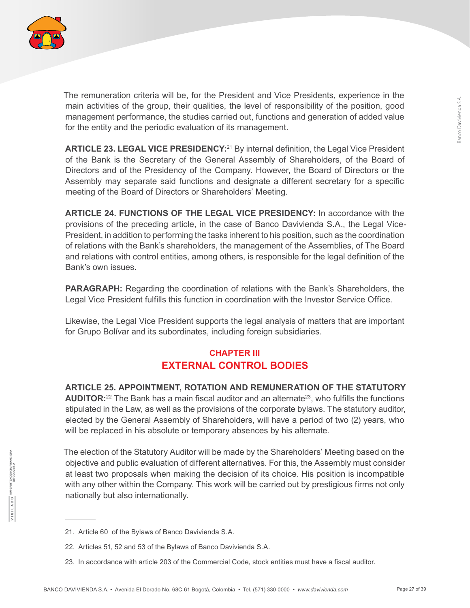

The remuneration criteria will be, for the President and Vice Presidents, experience in the main activities of the group, their qualities, the level of responsibility of the position, good management performance, the studies carried out, functions and generation of added value for the entity and the periodic evaluation of its management.

**ARTICLE 23. LEGAL VICE PRESIDENCY:**<sup>21</sup> By internal definition, the Legal Vice President of the Bank is the Secretary of the General Assembly of Shareholders, of the Board of Directors and of the Presidency of the Company. However, the Board of Directors or the Assembly may separate said functions and designate a different secretary for a specific meeting of the Board of Directors or Shareholders' Meeting.

**ARTICLE 24. FUNCTIONS OF THE LEGAL VICE PRESIDENCY:** In accordance with the provisions of the preceding article, in the case of Banco Davivienda S.A., the Legal Vice-President, in addition to performing the tasks inherent to his position, such as the coordination of relations with the Bank's shareholders, the management of the Assemblies, of The Board and relations with control entities, among others, is responsible for the legal definition of the Bank's own issues.

**PARAGRAPH:** Regarding the coordination of relations with the Bank's Shareholders, the Legal Vice President fulfills this function in coordination with the Investor Service Office.

Likewise, the Legal Vice President supports the legal analysis of matters that are important for Grupo Bolívar and its subordinates, including foreign subsidiaries.

## **CHAPTER III EXTERNAL CONTROL BODIES**

**ARTICLE 25. APPOINTMENT, ROTATION AND REMUNERATION OF THE STATUTORY AUDITOR:**<sup>22</sup> The Bank has a main fiscal auditor and an alternate<sup>23</sup>, who fulfills the functions stipulated in the Law, as well as the provisions of the corporate bylaws. The statutory auditor, elected by the General Assembly of Shareholders, will have a period of two (2) years, who will be replaced in his absolute or temporary absences by his alternate.

The election of the Statutory Auditor will be made by the Shareholders' Meeting based on the objective and public evaluation of different alternatives. For this, the Assembly must consider at least two proposals when making the decision of its choice. His position is incompatible with any other within the Company. This work will be carried out by prestigious firms not only nationally but also internationally.

<sup>21.</sup> Article 60 of the Bylaws of Banco Davivienda S.A.

<sup>22.</sup> Articles 51, 52 and 53 of the Bylaws of Banco Davivienda S.A.

<sup>23.</sup> In accordance with article 203 of the Commercial Code, stock entities must have a fiscal auditor.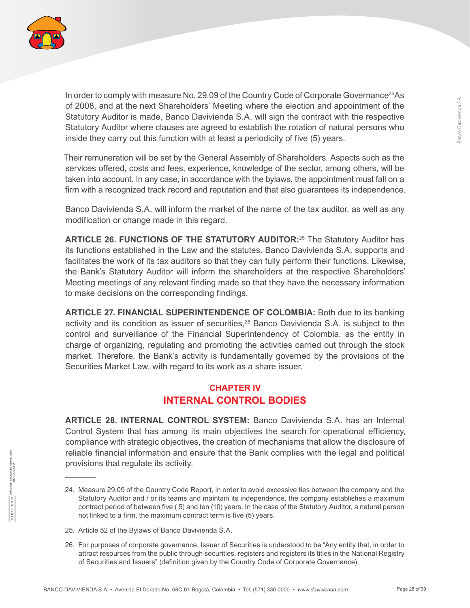

In order to comply with measure No. 29.09 of the Country Code of Corporate Governance<sup>24</sup>As of 2008, and at the next Shareholders' Meeting where the election and appointment of the Statutory Auditor is made, Banco Davivienda S.A. will sign the contract with the respective Statutory Auditor where clauses are agreed to establish the rotation of natural persons who inside they carry out this function with at least a periodicity of five (5) years.

Their remuneration will be set by the General Assembly of Shareholders. Aspects such as the services offered, costs and fees, experience, knowledge of the sector, among others, will be taken into account. In any case, in accordance with the bylaws, the appointment must fall on a firm with a recognized track record and reputation and that also guarantees its independence.

Banco Davivienda S.A. will inform the market of the name of the tax auditor, as well as any modification or change made in this regard.

**ARTICLE 26. FUNCTIONS OF THE STATUTORY AUDITOR:**<sup>25</sup> The Statutory Auditor has its functions established in the Law and the statutes. Banco Davivienda S.A. supports and facilitates the work of its tax auditors so that they can fully perform their functions. Likewise, the Bank's Statutory Auditor will inform the shareholders at the respective Shareholders' Meeting meetings of any relevant finding made so that they have the necessary information to make decisions on the corresponding findings.

**ARTICLE 27. FINANCIAL SUPERINTENDENCE OF COLOMBIA:** Both due to its banking activity and its condition as issuer of securities,<sup>26</sup> Banco Davivienda S.A. is subject to the control and surveillance of the Financial Superintendency of Colombia, as the entity in charge of organizing, regulating and promoting the activities carried out through the stock market. Therefore, the Bank's activity is fundamentally governed by the provisions of the Securities Market Law, with regard to its work as a share issuer.

## **CHAPTER IV INTERNAL CONTROL BODIES**

**ARTICLE 28. INTERNAL CONTROL SYSTEM:** Banco Davivienda S.A. has an Internal Control System that has among its main objectives the search for operational efficiency, compliance with strategic objectives, the creation of mechanisms that allow the disclosure of reliable financial information and ensure that the Bank complies with the legal and political provisions that regulate its activity.

<sup>24.</sup> Measure 29.09 of the Country Code Report, in order to avoid excessive ties between the company and the Statutory Auditor and / or its teams and maintain its independence, the company establishes a maximum contract period of between five ( 5) and ten (10) years. In the case of the Statutory Auditor, a natural person not linked to a firm, the maximum contract term is five (5) years.

<sup>25.</sup> Article 52 of the Bylaws of Banco Davivienda S.A.

<sup>26.</sup> For purposes of corporate governance, Issuer of Securities is understood to be "Any entity that, in order to attract resources from the public through securities, registers and registers its titles in the National Registry of Securities and Issuers" (definition given by the Country Code of Corporate Governance).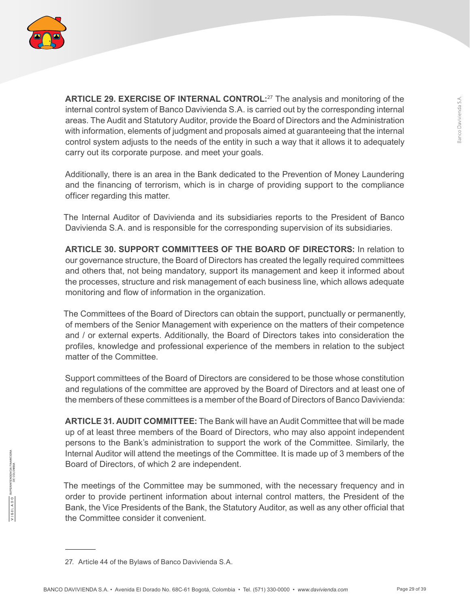

**ARTICLE 29. EXERCISE OF INTERNAL CONTROL:**27 The analysis and monitoring of the internal control system of Banco Davivienda S.A. is carried out by the corresponding internal areas. The Audit and Statutory Auditor, provide the Board of Directors and the Administration with information, elements of judgment and proposals aimed at guaranteeing that the internal control system adjusts to the needs of the entity in such a way that it allows it to adequately carry out its corporate purpose. and meet your goals.

Additionally, there is an area in the Bank dedicated to the Prevention of Money Laundering and the financing of terrorism, which is in charge of providing support to the compliance officer regarding this matter.

The Internal Auditor of Davivienda and its subsidiaries reports to the President of Banco Davivienda S.A. and is responsible for the corresponding supervision of its subsidiaries.

**ARTICLE 30. SUPPORT COMMITTEES OF THE BOARD OF DIRECTORS:** In relation to our governance structure, the Board of Directors has created the legally required committees and others that, not being mandatory, support its management and keep it informed about the processes, structure and risk management of each business line, which allows adequate monitoring and flow of information in the organization.

The Committees of the Board of Directors can obtain the support, punctually or permanently, of members of the Senior Management with experience on the matters of their competence and / or external experts. Additionally, the Board of Directors takes into consideration the profiles, knowledge and professional experience of the members in relation to the subject matter of the Committee.

Support committees of the Board of Directors are considered to be those whose constitution and regulations of the committee are approved by the Board of Directors and at least one of the members of these committees is a member of the Board of Directors of Banco Davivienda:

**ARTICLE 31. AUDIT COMMITTEE:** The Bank will have an Audit Committee that will be made up of at least three members of the Board of Directors, who may also appoint independent persons to the Bank's administration to support the work of the Committee. Similarly, the Internal Auditor will attend the meetings of the Committee. It is made up of 3 members of the Board of Directors, of which 2 are independent.

The meetings of the Committee may be summoned, with the necessary frequency and in order to provide pertinent information about internal control matters, the President of the Bank, the Vice Presidents of the Bank, the Statutory Auditor, as well as any other official that the Committee consider it convenient.

<sup>27.</sup> Article 44 of the Bylaws of Banco Davivienda S.A.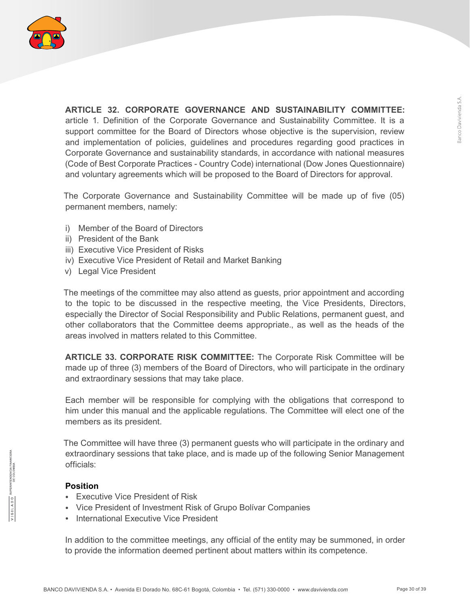

**ARTICLE 32. CORPORATE GOVERNANCE AND SUSTAINABILITY COMMITTEE:** article 1. Definition of the Corporate Governance and Sustainability Committee. It is a support committee for the Board of Directors whose objective is the supervision, review and implementation of policies, guidelines and procedures regarding good practices in Corporate Governance and sustainability standards, in accordance with national measures (Code of Best Corporate Practices - Country Code) international (Dow Jones Questionnaire) and voluntary agreements which will be proposed to the Board of Directors for approval.

The Corporate Governance and Sustainability Committee will be made up of five (05) permanent members, namely:

- i) Member of the Board of Directors
- ii) President of the Bank
- iii) Executive Vice President of Risks
- iv) Executive Vice President of Retail and Market Banking
- v) Legal Vice President

The meetings of the committee may also attend as guests, prior appointment and according to the topic to be discussed in the respective meeting, the Vice Presidents, Directors, especially the Director of Social Responsibility and Public Relations, permanent guest, and other collaborators that the Committee deems appropriate., as well as the heads of the areas involved in matters related to this Committee.

**ARTICLE 33. CORPORATE RISK COMMITTEE:** The Corporate Risk Committee will be made up of three (3) members of the Board of Directors, who will participate in the ordinary and extraordinary sessions that may take place.

Each member will be responsible for complying with the obligations that correspond to him under this manual and the applicable regulations. The Committee will elect one of the members as its president.

The Committee will have three (3) permanent guests who will participate in the ordinary and extraordinary sessions that take place, and is made up of the following Senior Management officials:

#### **Position**

- Executive Vice President of Risk
- Vice President of Investment Risk of Grupo Bolívar Companies
- International Executive Vice President

In addition to the committee meetings, any official of the entity may be summoned, in order to provide the information deemed pertinent about matters within its competence.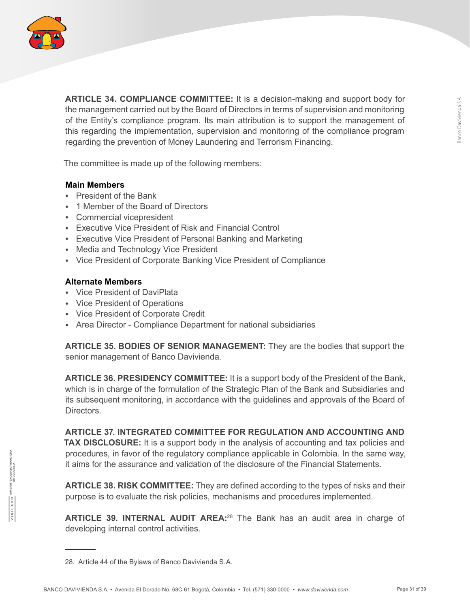

**ARTICLE 34. COMPLIANCE COMMITTEE:** It is a decision-making and support body for the management carried out by the Board of Directors in terms of supervision and monitoring of the Entity's compliance program. Its main attribution is to support the management of this regarding the implementation, supervision and monitoring of the compliance program regarding the prevention of Money Laundering and Terrorism Financing.

The committee is made up of the following members:

#### **Main Members**

- President of the Bank
- 1 Member of the Board of Directors
- Commercial vicepresident
- Executive Vice President of Risk and Financial Control
- Executive Vice President of Personal Banking and Marketing
- Media and Technology Vice President
- Vice President of Corporate Banking Vice President of Compliance

#### **Alternate Members**

- Vice President of DaviPlata
- Vice President of Operations
- Vice President of Corporate Credit
- Area Director Compliance Department for national subsidiaries

**ARTICLE 35. BODIES OF SENIOR MANAGEMENT:** They are the bodies that support the senior management of Banco Davivienda.

**ARTICLE 36. PRESIDENCY COMMITTEE:** It is a support body of the President of the Bank, which is in charge of the formulation of the Strategic Plan of the Bank and Subsidiaries and its subsequent monitoring, in accordance with the guidelines and approvals of the Board of **Directors** 

**ARTICLE 37. INTEGRATED COMMITTEE FOR REGULATION AND ACCOUNTING AND TAX DISCLOSURE:** It is a support body in the analysis of accounting and tax policies and procedures, in favor of the regulatory compliance applicable in Colombia. In the same way, it aims for the assurance and validation of the disclosure of the Financial Statements.

**ARTICLE 38. RISK COMMITTEE:** They are defined according to the types of risks and their purpose is to evaluate the risk policies, mechanisms and procedures implemented.

**ARTICLE 39. INTERNAL AUDIT AREA:**28 The Bank has an audit area in charge of developing internal control activities.

<sup>28.</sup> Article 44 of the Bylaws of Banco Davivienda S.A.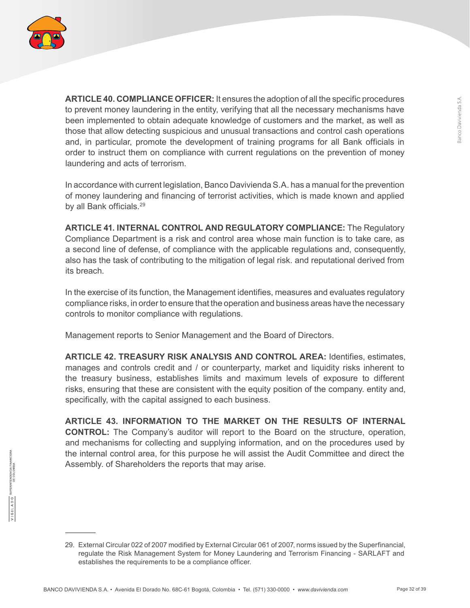

**ARTICLE 40. COMPLIANCE OFFICER:** It ensures the adoption of all the specific procedures to prevent money laundering in the entity, verifying that all the necessary mechanisms have been implemented to obtain adequate knowledge of customers and the market, as well as those that allow detecting suspicious and unusual transactions and control cash operations and, in particular, promote the development of training programs for all Bank officials in order to instruct them on compliance with current regulations on the prevention of money laundering and acts of terrorism.

In accordance with current legislation, Banco Davivienda S.A. has a manual for the prevention of money laundering and financing of terrorist activities, which is made known and applied by all Bank officials.<sup>29</sup>

**ARTICLE 41. INTERNAL CONTROL AND REGULATORY COMPLIANCE:** The Regulatory Compliance Department is a risk and control area whose main function is to take care, as a second line of defense, of compliance with the applicable regulations and, consequently, also has the task of contributing to the mitigation of legal risk. and reputational derived from its breach.

In the exercise of its function, the Management identifies, measures and evaluates regulatory compliance risks, in order to ensure that the operation and business areas have the necessary controls to monitor compliance with regulations.

Management reports to Senior Management and the Board of Directors.

**ARTICLE 42. TREASURY RISK ANALYSIS AND CONTROL AREA:** Identifies, estimates, manages and controls credit and / or counterparty, market and liquidity risks inherent to the treasury business, establishes limits and maximum levels of exposure to different risks, ensuring that these are consistent with the equity position of the company. entity and, specifically, with the capital assigned to each business.

**ARTICLE 43. INFORMATION TO THE MARKET ON THE RESULTS OF INTERNAL CONTROL:** The Company's auditor will report to the Board on the structure, operation, and mechanisms for collecting and supplying information, and on the procedures used by the internal control area, for this purpose he will assist the Audit Committee and direct the Assembly. of Shareholders the reports that may arise.

<sup>29.</sup> External Circular 022 of 2007 modified by External Circular 061 of 2007, norms issued by the Superfinancial, regulate the Risk Management System for Money Laundering and Terrorism Financing - SARLAFT and establishes the requirements to be a compliance officer.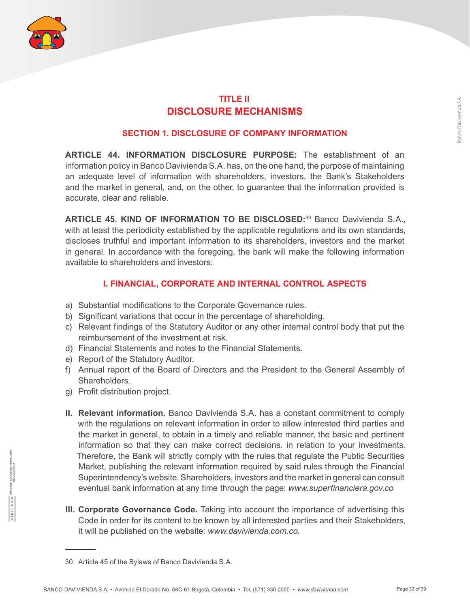

## **TITLE II DISCLOSURE MECHANISMS**

#### **SECTION 1. DISCLOSURE OF COMPANY INFORMATION**

**ARTICLE 44. INFORMATION DISCLOSURE PURPOSE:** The establishment of an information policy in Banco Davivienda S.A. has, on the one hand, the purpose of maintaining an adequate level of information with shareholders, investors, the Bank's Stakeholders and the market in general, and, on the other, to guarantee that the information provided is accurate, clear and reliable.

**ARTICLE 45. KIND OF INFORMATION TO BE DISCLOSED:**<sup>30</sup> Banco Davivienda S.A., with at least the periodicity established by the applicable regulations and its own standards, discloses truthful and important information to its shareholders, investors and the market in general. In accordance with the foregoing, the bank will make the following information available to shareholders and investors:

#### **I. FINANCIAL, CORPORATE AND INTERNAL CONTROL ASPECTS**

- a) Substantial modifications to the Corporate Governance rules.
- b) Significant variations that occur in the percentage of shareholding.
- c) Relevant findings of the Statutory Auditor or any other internal control body that put the reimbursement of the investment at risk.
- d) Financial Statements and notes to the Financial Statements.
- e) Report of the Statutory Auditor.
- f) Annual report of the Board of Directors and the President to the General Assembly of Shareholders.
- g) Profit distribution project.
- **II. Relevant information.** Banco Davivienda S.A. has a constant commitment to comply with the regulations on relevant information in order to allow interested third parties and the market in general, to obtain in a timely and reliable manner, the basic and pertinent information so that they can make correct decisions. in relation to your investments. Therefore, the Bank will strictly comply with the rules that regulate the Public Securities Market, publishing the relevant information required by said rules through the Financial Superintendency's website. Shareholders, investors and the market in general can consult eventual bank information at any time through the page: *www.superfinanciera.gov.co*
- **III. Corporate Governance Code.** Taking into account the importance of advertising this Code in order for its content to be known by all interested parties and their Stakeholders, it will be published on the website: *www.davivienda.com.co.*

<sup>30.</sup> Article 45 of the Bylaws of Banco Davivienda S.A.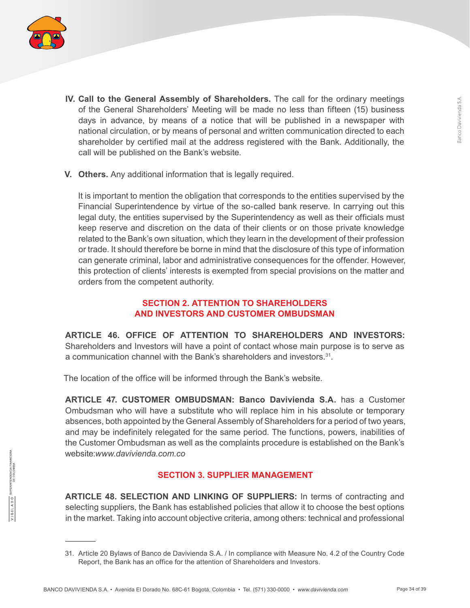

- **IV. Call to the General Assembly of Shareholders.** The call for the ordinary meetings of the General Shareholders' Meeting will be made no less than fifteen (15) business days in advance, by means of a notice that will be published in a newspaper with national circulation, or by means of personal and written communication directed to each shareholder by certified mail at the address registered with the Bank. Additionally, the call will be published on the Bank's website.
- **V. Others.** Any additional information that is legally required.

It is important to mention the obligation that corresponds to the entities supervised by the Financial Superintendence by virtue of the so-called bank reserve. In carrying out this legal duty, the entities supervised by the Superintendency as well as their officials must keep reserve and discretion on the data of their clients or on those private knowledge related to the Bank's own situation, which they learn in the development of their profession or trade. It should therefore be borne in mind that the disclosure of this type of information can generate criminal, labor and administrative consequences for the offender. However, this protection of clients' interests is exempted from special provisions on the matter and orders from the competent authority.

#### **SECTION 2. ATTENTION TO SHAREHOLDERS AND INVESTORS AND CUSTOMER OMBUDSMAN**

**ARTICLE 46. OFFICE OF ATTENTION TO SHAREHOLDERS AND INVESTORS:** Shareholders and Investors will have a point of contact whose main purpose is to serve as a communication channel with the Bank's shareholders and investors.<sup>31</sup>.

The location of the office will be informed through the Bank's website.

**ARTICLE 47. CUSTOMER OMBUDSMAN: Banco Davivienda S.A.** has a Customer Ombudsman who will have a substitute who will replace him in his absolute or temporary absences, both appointed by the General Assembly of Shareholders for a period of two years, and may be indefinitely relegated for the same period. The functions, powers, inabilities of the Customer Ombudsman as well as the complaints procedure is established on the Bank's website:*www.davivienda.com.co*

#### **SECTION 3. SUPPLIER MANAGEMENT**

**ARTICLE 48. SELECTION AND LINKING OF SUPPLIERS:** In terms of contracting and selecting suppliers, the Bank has established policies that allow it to choose the best options in the market. Taking into account objective criteria, among others: technical and professional

<sup>31.</sup> Article 20 Bylaws of Banco de Davivienda S.A. / In compliance with Measure No. 4.2 of the Country Code Report, the Bank has an office for the attention of Shareholders and Investors.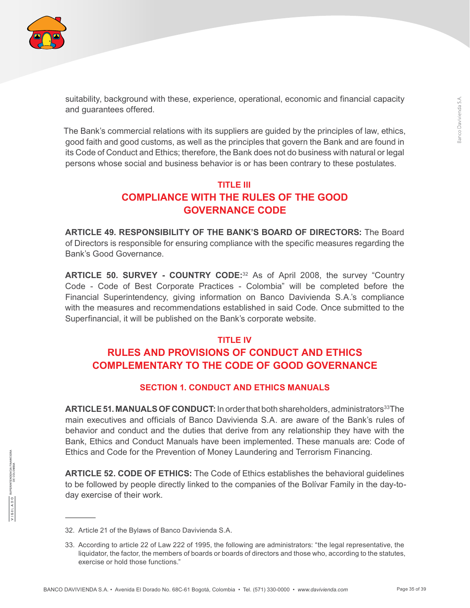

suitability, background with these, experience, operational, economic and financial capacity and guarantees offered.

The Bank's commercial relations with its suppliers are guided by the principles of law, ethics, good faith and good customs, as well as the principles that govern the Bank and are found in its Code of Conduct and Ethics; therefore, the Bank does not do business with natural or legal persons whose social and business behavior is or has been contrary to these postulates.

## **TITLE III COMPLIANCE WITH THE RULES OF THE GOOD GOVERNANCE CODE**

**ARTICLE 49. RESPONSIBILITY OF THE BANK'S BOARD OF DIRECTORS:** The Board of Directors is responsible for ensuring compliance with the specific measures regarding the Bank's Good Governance.

**ARTICLE 50. SURVEY - COUNTRY CODE:**<sup>32</sup> As of April 2008, the survey "Country Code - Code of Best Corporate Practices - Colombia" will be completed before the Financial Superintendency, giving information on Banco Davivienda S.A.'s compliance with the measures and recommendations established in said Code. Once submitted to the Superfinancial, it will be published on the Bank's corporate website.

#### **TITLE IV**

## **RULES AND PROVISIONS OF CONDUCT AND ETHICS COMPLEMENTARY TO THE CODE OF GOOD GOVERNANCE**

#### **SECTION 1. CONDUCT AND ETHICS MANUALS**

**ARTICLE 51. MANUALS OF CONDUCT:** In order that both shareholders, administrators<sup>33</sup>The main executives and officials of Banco Davivienda S.A. are aware of the Bank's rules of behavior and conduct and the duties that derive from any relationship they have with the Bank, Ethics and Conduct Manuals have been implemented. These manuals are: Code of Ethics and Code for the Prevention of Money Laundering and Terrorism Financing.

**ARTICLE 52. CODE OF ETHICS:** The Code of Ethics establishes the behavioral guidelines to be followed by people directly linked to the companies of the Bolívar Family in the day-today exercise of their work.

<sup>32.</sup> Article 21 of the Bylaws of Banco Davivienda S.A.

<sup>33.</sup> According to article 22 of Law 222 of 1995, the following are administrators: "the legal representative, the liquidator, the factor, the members of boards or boards of directors and those who, according to the statutes, exercise or hold those functions."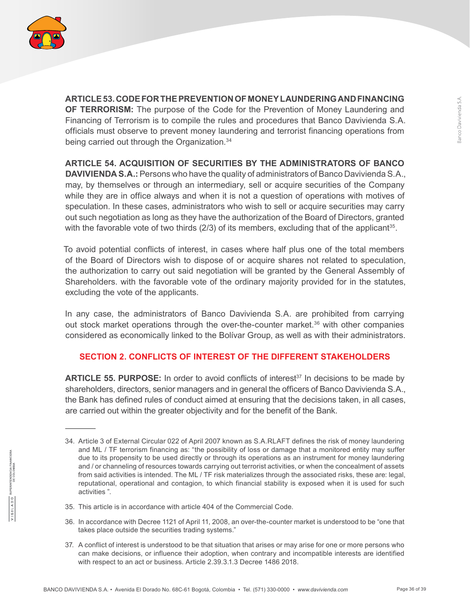

**ARTICLE 53. CODE FOR THE PREVENTION OF MONEY LAUNDERING AND FINANCING OF TERRORISM:** The purpose of the Code for the Prevention of Money Laundering and Financing of Terrorism is to compile the rules and procedures that Banco Davivienda S.A. officials must observe to prevent money laundering and terrorist financing operations from being carried out through the Organization.<sup>34</sup>

**ARTICLE 54. ACQUISITION OF SECURITIES BY THE ADMINISTRATORS OF BANCO** 

**DAVIVIENDA S.A.:** Persons who have the quality of administrators of Banco Davivienda S.A., may, by themselves or through an intermediary, sell or acquire securities of the Company while they are in office always and when it is not a question of operations with motives of speculation. In these cases, administrators who wish to sell or acquire securities may carry out such negotiation as long as they have the authorization of the Board of Directors, granted with the favorable vote of two thirds  $(2/3)$  of its members, excluding that of the applicant<sup>35</sup>.

To avoid potential conflicts of interest, in cases where half plus one of the total members of the Board of Directors wish to dispose of or acquire shares not related to speculation, the authorization to carry out said negotiation will be granted by the General Assembly of Shareholders. with the favorable vote of the ordinary majority provided for in the statutes, excluding the vote of the applicants.

In any case, the administrators of Banco Davivienda S.A. are prohibited from carrying out stock market operations through the over-the-counter market.<sup>36</sup> with other companies considered as economically linked to the Bolívar Group, as well as with their administrators.

#### **SECTION 2. CONFLICTS OF INTEREST OF THE DIFFERENT STAKEHOLDERS**

ARTICLE 55. PURPOSE: In order to avoid conflicts of interest<sup>37</sup> In decisions to be made by shareholders, directors, senior managers and in general the officers of Banco Davivienda S.A., the Bank has defined rules of conduct aimed at ensuring that the decisions taken, in all cases, are carried out within the greater objectivity and for the benefit of the Bank.

- 35. This article is in accordance with article 404 of the Commercial Code.
- 36. In accordance with Decree 1121 of April 11, 2008, an over-the-counter market is understood to be "one that takes place outside the securities trading systems."
- 37. A conflict of interest is understood to be that situation that arises or may arise for one or more persons who can make decisions, or influence their adoption, when contrary and incompatible interests are identified with respect to an act or business. Article 2.39.3.1.3 Decree 1486 2018.

<sup>34.</sup> Article 3 of External Circular 022 of April 2007 known as S.A.RLAFT defines the risk of money laundering and ML / TF terrorism financing as: "the possibility of loss or damage that a monitored entity may suffer due to its propensity to be used directly or through its operations as an instrument for money laundering and / or channeling of resources towards carrying out terrorist activities, or when the concealment of assets from said activities is intended. The ML / TF risk materializes through the associated risks, these are: legal, reputational, operational and contagion, to which financial stability is exposed when it is used for such activities ".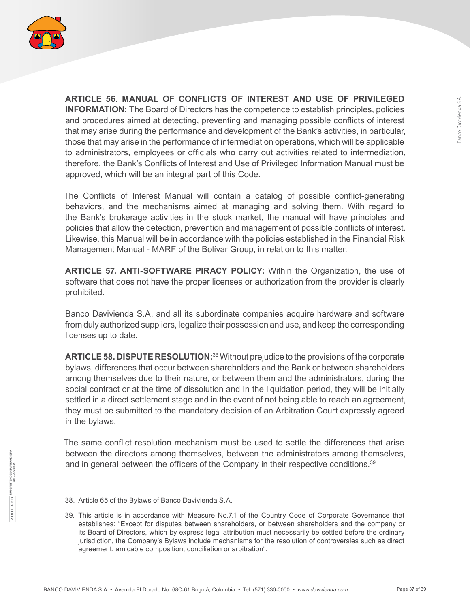

**ARTICLE 56. MANUAL OF CONFLICTS OF INTEREST AND USE OF PRIVILEGED INFORMATION:** The Board of Directors has the competence to establish principles, policies and procedures aimed at detecting, preventing and managing possible conflicts of interest that may arise during the performance and development of the Bank's activities, in particular, those that may arise in the performance of intermediation operations, which will be applicable to administrators, employees or officials who carry out activities related to intermediation, therefore, the Bank's Conflicts of Interest and Use of Privileged Information Manual must be approved, which will be an integral part of this Code.

The Conflicts of Interest Manual will contain a catalog of possible conflict-generating behaviors, and the mechanisms aimed at managing and solving them. With regard to the Bank's brokerage activities in the stock market, the manual will have principles and policies that allow the detection, prevention and management of possible conflicts of interest. Likewise, this Manual will be in accordance with the policies established in the Financial Risk Management Manual - MARF of the Bolívar Group, in relation to this matter.

**ARTICLE 57. ANTI-SOFTWARE PIRACY POLICY:** Within the Organization, the use of software that does not have the proper licenses or authorization from the provider is clearly prohibited.

Banco Davivienda S.A. and all its subordinate companies acquire hardware and software from duly authorized suppliers, legalize their possession and use, and keep the corresponding licenses up to date.

**ARTICLE 58. DISPUTE RESOLUTION:**38 Without prejudice to the provisions of the corporate bylaws, differences that occur between shareholders and the Bank or between shareholders among themselves due to their nature, or between them and the administrators, during the social contract or at the time of dissolution and In the liquidation period, they will be initially settled in a direct settlement stage and in the event of not being able to reach an agreement, they must be submitted to the mandatory decision of an Arbitration Court expressly agreed in the bylaws.

The same conflict resolution mechanism must be used to settle the differences that arise between the directors among themselves, between the administrators among themselves, and in general between the officers of the Company in their respective conditions.<sup>39</sup>

<sup>38.</sup> Article 65 of the Bylaws of Banco Davivienda S.A.

<sup>39.</sup> This article is in accordance with Measure No.7.1 of the Country Code of Corporate Governance that establishes: "Except for disputes between shareholders, or between shareholders and the company or its Board of Directors, which by express legal attribution must necessarily be settled before the ordinary jurisdiction, the Company's Bylaws include mechanisms for the resolution of controversies such as direct agreement, amicable composition, conciliation or arbitration".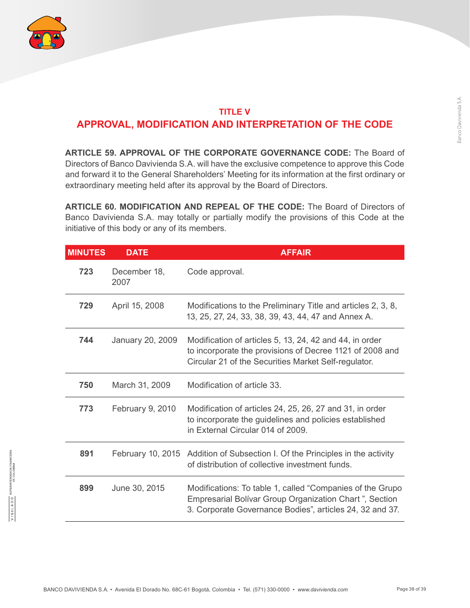

## **TITLE V APPROVAL, MODIFICATION AND INTERPRETATION OF THE CODE**

**ARTICLE 59. APPROVAL OF THE CORPORATE GOVERNANCE CODE:** The Board of Directors of Banco Davivienda S.A. will have the exclusive competence to approve this Code and forward it to the General Shareholders' Meeting for its information at the first ordinary or extraordinary meeting held after its approval by the Board of Directors.

**ARTICLE 60. MODIFICATION AND REPEAL OF THE CODE:** The Board of Directors of Banco Davivienda S.A. may totally or partially modify the provisions of this Code at the initiative of this body or any of its members.

| <b>MINUTES</b> | <b>DATE</b>          | <b>AFFAIR</b>                                                                                                                                                                   |
|----------------|----------------------|---------------------------------------------------------------------------------------------------------------------------------------------------------------------------------|
| 723            | December 18,<br>2007 | Code approval.                                                                                                                                                                  |
| 729            | April 15, 2008       | Modifications to the Preliminary Title and articles 2, 3, 8,<br>13, 25, 27, 24, 33, 38, 39, 43, 44, 47 and Annex A.                                                             |
| 744            | January 20, 2009     | Modification of articles 5, 13, 24, 42 and 44, in order<br>to incorporate the provisions of Decree 1121 of 2008 and<br>Circular 21 of the Securities Market Self-regulator.     |
| 750            | March 31, 2009       | Modification of article 33.                                                                                                                                                     |
| 773            | February 9, 2010     | Modification of articles 24, 25, 26, 27 and 31, in order<br>to incorporate the guidelines and policies established<br>in External Circular 014 of 2009.                         |
| 891            |                      | February 10, 2015 Addition of Subsection I. Of the Principles in the activity<br>of distribution of collective investment funds.                                                |
| 899            | June 30, 2015        | Modifications: To table 1, called "Companies of the Grupo<br>Empresarial Bolívar Group Organization Chart", Section<br>3. Corporate Governance Bodies", articles 24, 32 and 37. |

TENDENCIA FINA<br>DE COLOMBIA

**OUV1191/**